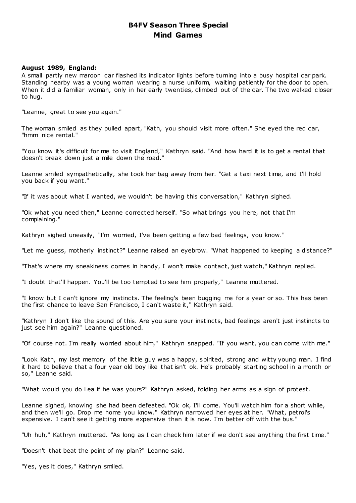# **B4FV Season Three Special Mind Games**

# **August 1989, England:**

A small partly new maroon car flashed its indicator lights before turning into a busy hospital car park. Standing nearby was a young woman wearing a nurse uniform, waiting patiently for the door to open. When it did a familiar woman, only in her early twenties, climbed out of the car. The two walked closer to hug.

"Leanne, great to see you again."

The woman smiled as they pulled apart, "Kath, you should visit more often." She eyed the red car, "hmm nice rental."

"You know it's difficult for me to visit England," Kathryn said. "And how hard it is to get a rental that doesn't break down just a mile down the road."

Leanne smiled sympathetically, she took her bag away from her. "Get a taxi next time, and I'll hold you back if you want."

"If it was about what I wanted, we wouldn't be having this conversation," Kathryn sighed.

"Ok what you need then," Leanne corrected herself. "So what brings you here, not that I'm complaining."

Kathryn sighed uneasily, "I'm worried, I've been getting a few bad feelings, you know."

"Let me guess, motherly instinct?" Leanne raised an eyebrow. "What happened to keeping a distance?"

"That's where my sneakiness comes in handy, I won't make contact, just watch," Kathryn replied.

"I doubt that'll happen. You'll be too tempted to see him properly," Leanne muttered.

"I know but I can't ignore my instincts. The feeling's been bugging me for a year or so. This has been the first chance to leave San Francisco, I can't waste it," Kathryn said.

"Kathryn I don't like the sound of this. Are you sure your instincts, bad feelings aren't just instincts to just see him again?" Leanne questioned.

"Of course not. I'm really worried about him," Kathryn snapped. "If you want, you can come with me."

"Look Kath, my last memory of the little guy was a happy, spirited, strong and witty young man. I find it hard to believe that a four year old boy like that isn't ok. He's probably starting school in a month or so," Leanne said.

"What would you do Lea if he was yours?" Kathryn asked, folding her arms as a sign of protest.

Leanne sighed, knowing she had been defeated. "Ok ok, I'll come. You'll watch him for a short while, and then we'll go. Drop me home you know." Kathryn narrowed her eyes at her. "What, petrol's expensive. I can't see it getting more expensive than it is now. I'm better off with the bus."

"Uh huh," Kathryn muttered. "As long as I can check him later if we don't see anything the first time."

"Doesn't that beat the point of my plan?" Leanne said.

"Yes, yes it does," Kathryn smiled.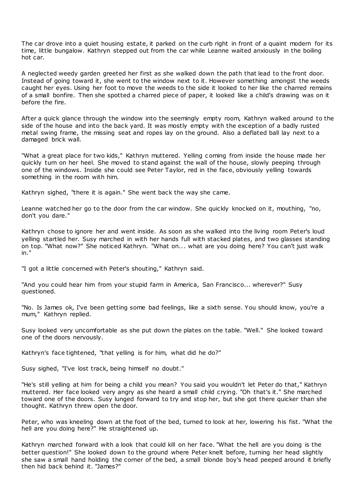The car drove into a quiet housing estate, it parked on the curb right in front of a quaint modern for its time, little bungalow. Kathryn stepped out from the car while Leanne waited anxiously in the boiling hot car.

A neglected weedy garden greeted her first as she walked down the path that lead to the front door. Instead of going toward it, she went to the window next to it. However something amongst the weeds caught her eyes. Using her foot to move the weeds to the side it looked to her like the charred remains of a small bonfire. Then she spotted a charred piece of paper, it looked like a child's drawing was on it before the fire.

After a quick glance through the window into the seemingly empty room, Kathryn walked around to the side of the house and into the back yard. It was mostly empty with the exception of a badly rusted metal swing frame, the missing seat and ropes lay on the ground. Also a deflated ball lay next to a damaged brick wall.

"What a great place for two kids," Kathryn muttered. Yelling c oming from inside the house made her quickly turn on her heel. She moved to stand against the wall of the house, slowly peeping through one of the windows. Inside she could see Peter Taylor, red in the face, obviously yelling towards something in the room with him.

Kathryn sighed, "there it is again." She went back the way she came.

Leanne watched her go to the door from the car window. She quickly knocked on it, mouthing, "no, don't you dare."

Kathryn chose to ignore her and went inside. As soon as she walked into the living room Peter's loud yelling startled her. Susy marched in with her hands full with stacked plates, and two glasses standing on top. "What now?" She noticed Kathryn. "What on... what are you doing here? You can't just walk in."

"I got a little concerned with Peter's shouting," Kathryn said.

"And you could hear him from your stupid farm in America, San Francisco... wherever?" Susy questioned.

"No. Is James ok, I've been getting some bad feelings, like a sixth sense. You should know, you're a mum," Kathryn replied.

Susy looked very uncomfortable as she put down the plates on the table. "Well." She looked toward one of the doors nervously.

Kathryn's face tightened, "that yelling is for him, what did he do?"

Susy sighed, "I've lost track, being himself no doubt."

"He's still yelling at him for being a child you mean? You said you wouldn't let Peter do that," Kathryn muttered. Her face looked very angry as she heard a small child crying. "Oh that's it." She marched toward one of the doors. Susy lunged forward to try and stop her, but she got there quicker than she thought. Kathryn threw open the door.

Peter, who was kneeling down at the foot of the bed, turned to look at her, lowering his fist. "What the hell are you doing here?" He straightened up.

Kathryn marched forward with a look that could kill on her face. "What the hell are you doing is the better question!" She looked down to the ground where Peter knelt before, turning her head slightly she saw a small hand holding the corner of the bed, a small blonde boy's head peeped around it briefly then hid back behind it. "James?"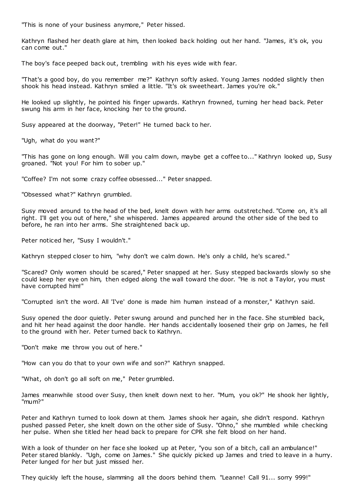"This is none of your business anymore," Peter hissed.

Kathryn flashed her death glare at him, then looked back holding out her hand. "James, it's ok, you can come out."

The boy's face peeped back out, trembling with his eyes wide with fear.

"That's a good boy, do you remember me?" Kathryn softly asked. Young James nodded slightly then shook his head instead. Kathryn smiled a little. "It's ok sweetheart. James you're ok."

He looked up slightly, he pointed his finger upwards. Kathryn frowned, turning her head back. Peter swung his arm in her face, knocking her to the ground.

Susy appeared at the doorway, "Peter!" He turned back to her.

"Ugh, what do you want?"

"This has gone on long enough. Will you calm down, maybe get a coffee to..." Kathryn looked up, Susy groaned. "Not you! For him to sober up."

"Coffee? I'm not some crazy coffee obsessed..." Peter snapped.

"Obsessed what?" Kathryn grumbled.

Susy moved around to the head of the bed, knelt down with her arms outstretched. "Come on, it's all right. I'll get you out of here," she whispered. James appeared around the other side of the bed to before, he ran into her arms. She straightened back up.

Peter noticed her, "Susy I wouldn't."

Kathryn stepped closer to him, "why don't we calm down. He's only a child, he's scared."

"Scared? Only women should be scared," Peter snapped at her. Susy stepped backwards slowly so she could keep her eye on him, then edged along the wall toward the door. "He is not a Taylor, you must have corrupted him!"

"Corrupted isn't the word. All 'I've' done is made him human instead of a monster," Kathryn said.

Susy opened the door quietly. Peter swung around and punched her in the face. She stumbled back, and hit her head against the door handle. Her hands accidentally loosened their grip on James, he fell to the ground with her. Peter turned back to Kathryn.

"Don't make me throw you out of here."

"How can you do that to your own wife and son?" Kathryn snapped.

"What, oh don't go all soft on me," Peter grumbled.

James meanwhile stood over Susy, then knelt down next to her. "Mum, you ok?" He shook her lightly, "mum?"

Peter and Kathryn turned to look down at them. James shook her again, she didn't respond. Kathryn pushed passed Peter, she knelt down on the other side of Susy. "Ohno," she mumbled while checking her pulse. When she titled her head back to prepare for CPR she felt blood on her hand.

With a look of thunder on her face she looked up at Peter, "you son of a bitch, call an ambulance!" Peter stared blankly. "Ugh, come on James." She quickly picked up James and tried to leave in a hurry. Peter lunged for her but just missed her.

They quickly left the house, slamming all the doors behind them. "Leanne! Call 91... sorry 999!"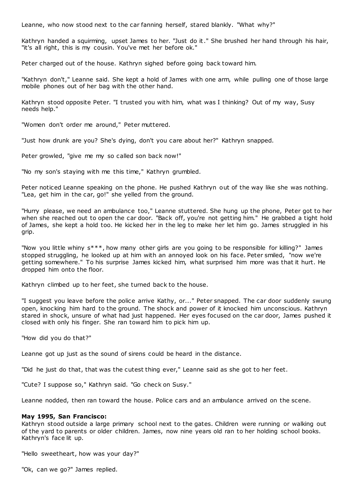Leanne, who now stood next to the car fanning herself, stared blankly. "What why?"

Kathryn handed a squirming, upset James to her. "Just do it." She brushed her hand through his hair, "it's all right, this is my cousin. You've met her before ok."

Peter charged out of the house. Kathryn sighed before going back toward him.

"Kathryn don't," Leanne said. She kept a hold of James with one arm, while pulling one of those large mobile phones out of her bag with the other hand.

Kathryn stood opposite Peter. "I trusted you with him, what was I thinking? Out of my way, Susy needs help."

"Women don't order me around," Peter muttered.

"Just how drunk are you? She's dying, don't you care about her?" Kathryn snapped.

Peter growled, "give me my so called son back now!"

"No my son's staying with me this time," Kathryn grumbled.

Peter noticed Leanne speaking on the phone. He pushed Kathryn out of the way like she was nothing. "Lea, get him in the car, go!" she yelled from the ground.

"Hurry please, we need an ambulance too," Leanne stuttered. She hung up the phone, Peter got to her when she reached out to open the car door. "Back off, you're not getting him." He grabbed a tight hold of James, she kept a hold too. He kicked her in the leg to make her let him go. James struggled in his grip.

"Now you little whiny s\*\*\*, how many other girls are you going to be responsible for killing?" James stopped struggling, he looked up at him with an annoyed look on his face. Peter smiled, "now we're getting somewhere." To his surprise James kicked him, what surprised him more was that it hurt. He dropped him onto the floor.

Kathryn climbed up to her feet, she turned back to the house.

"I suggest you leave before the police arrive Kathy, or..." Peter snapped. The car door suddenly swung open, knocking him hard to the ground. The shock and power of it knocked him unconscious. Kathryn stared in shock, unsure of what had just happened. Her eyes focused on the car door, James pushed it closed with only his finger. She ran toward him to pick him up.

"How did you do that?"

Leanne got up just as the sound of sirens could be heard in the distance.

"Did he just do that, that was the cutest thing ever," Leanne said as she got to her feet.

"Cute? I suppose so," Kathryn said. "Go check on Susy."

Leanne nodded, then ran toward the house. Police cars and an ambulance arrived on the scene.

# **May 1995, San Francisco:**

Kathryn stood outside a large primary school next to the gates. Children were running or walking out of the yard to parents or older children. James, now nine years old ran to her holding school books. Kathryn's face lit up.

"Hello sweetheart, how was your day?"

"Ok, can we go?" James replied.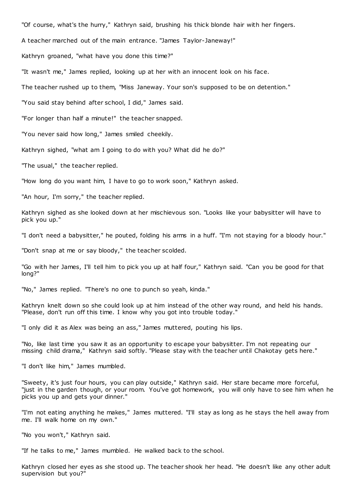"Of course, what's the hurry," Kathryn said, brushing his thick blonde hair with her fingers.

A teacher marched out of the main entrance. "James Taylor-Janeway!"

Kathryn groaned, "what have you done this time?"

"It wasn't me," James replied, looking up at her with an innocent look on his face.

The teacher rushed up to them, "Miss Janeway. Your son's supposed to be on detention."

"You said stay behind after school, I did," James said.

"For longer than half a minute!" the teacher snapped.

"You never said how long," James smiled cheekily.

Kathryn sighed, "what am I going to do with you? What did he do?"

"The usual," the teacher replied.

"How long do you want him, I have to go to work soon," Kathryn asked.

"An hour, I'm sorry," the teacher replied.

Kathryn sighed as she looked down at her mischievous son. "Looks like your babysitter will have to pick you up."

"I don't need a babysitter," he pouted, folding his arms in a huff. "I'm not staying for a bloody hour."

"Don't snap at me or say bloody," the teacher scolded.

"Go with her James, I'll tell him to pick you up at half four," Kathryn said. "Can you be good for that long?"

"No," James replied. "There's no one to punch so yeah, kinda."

Kathryn knelt down so she could look up at him instead of the other way round, and held his hands. "Please, don't run off this time. I know why you got into trouble today."

"I only did it as Alex was being an ass," James muttered, pouting his lips.

"No, like last time you saw it as an opportunity to escape your babysitter. I'm not repeating our missing child drama," Kathryn said softly. "Please stay with the teacher until Chakotay gets here."

"I don't like him," James mumbled.

"Sweety, it's just four hours, you can play outside," Kathryn said. Her stare became more forceful, "just in the garden though, or your room. You've got homework, you will only have to see him when he picks you up and gets your dinner."

"I'm not eating anything he makes," James muttered. "I'll stay as long as he stays the hell away from me. I'll walk home on my own."

"No you won't," Kathryn said.

"If he talks to me," James mumbled. He walked back to the school.

Kathryn closed her eyes as she stood up. The teacher shook her head. "He doesn't like any other adult supervision but you?"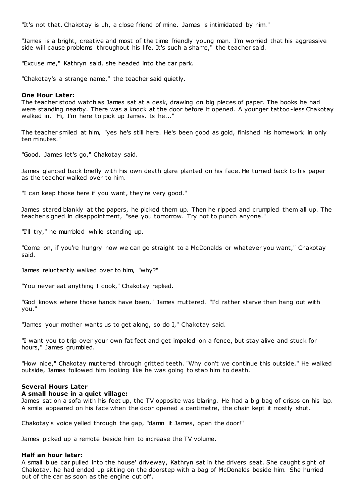"It's not that. Chakotay is uh, a close friend of mine. James is intimidated by him."

"James is a bright, creative and most of the time friendly young man. I'm worried that his aggressive side will cause problems throughout his life. It's such a shame," the teacher said.

"Excuse me," Kathryn said, she headed into the car park.

"Chakotay's a strange name," the teacher said quietly.

## **One Hour Later:**

The teacher stood watch as James sat at a desk, drawing on big pieces of paper. The books he had were standing nearby. There was a knock at the door before it opened. A younger tattoo-less Chakotay walked in. "Hi, I'm here to pick up James. Is he..."

The teacher smiled at him, "yes he's still here. He's been good as gold, finished his homework in only ten minutes."

"Good. James let's go," Chakotay said.

James glanced back briefly with his own death glare planted on his face. He turned back to his paper as the teacher walked over to him.

"I can keep those here if you want, they're very good."

James stared blankly at the papers, he picked them up. Then he ripped and crumpled them all up. The teacher sighed in disappointment, "see you tomorrow. Try not to punch anyone."

"I'll try," he mumbled while standing up.

"Come on, if you're hungry now we can go straight to a McDonalds or whatever you want," Chakotay said.

James reluctantly walked over to him, "why?"

"You never eat anything I cook," Chakotay replied.

"God knows where those hands have been," James muttered. "I'd rather starve than hang out with you."

"James your mother wants us to get along, so do I," Chakotay said.

"I want you to trip over your own fat feet and get impaled on a fence, but stay alive and stuck for hours," James grumbled.

"How nice," Chakotay muttered through gritted teeth. "Why don't we continue this outside." He walked outside, James followed him looking like he was going to stab him to death.

# **Several Hours Later**

### **A small house in a quiet village:**

James sat on a sofa with his feet up, the TV opposite was blaring. He had a big bag of crisps on his lap. A smile appeared on his face when the door opened a centimetre, the chain kept it mostly shut.

Chakotay's voice yelled through the gap, "damn it James, open the door!"

James picked up a remote beside him to increase the TV volume.

# **Half an hour later:**

A small blue car pulled into the house' driveway, Kathryn sat in the drivers seat. She caught sight of Chakotay, he had ended up sitting on the doorstep with a bag of McDonalds beside him. She hurried out of the car as soon as the engine cut off.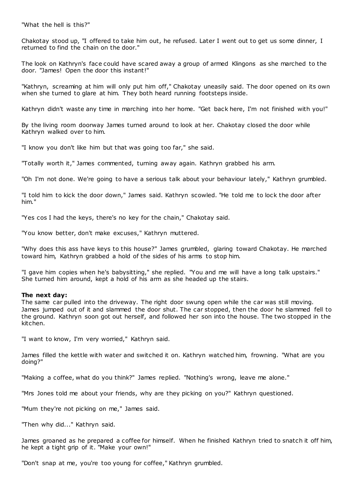"What the hell is this?"

Chakotay stood up, "I offered to take him out, he refused. Later I went out to get us some dinner, I returned to find the chain on the door."

The look on Kathryn's face could have scared away a group of armed Klingons as she marched to the door. "James! Open the door this instant!"

"Kathryn, screaming at him will only put him off," Chakotay uneasily said. The door opened on its own when she turned to glare at him. They both heard running footsteps inside.

Kathryn didn't waste any time in marching into her home. "Get back here, I'm not finished with you!"

By the living room doorway James turned around to look at her. Chakotay closed the door while Kathryn walked over to him.

"I know you don't like him but that was going too far," she said.

"Totally worth it," James commented, turning away again. Kathryn grabbed his arm.

"Oh I'm not done. We're going to have a serious talk about your behaviour lately," Kathryn grumbled.

"I told him to kick the door down," James said. Kathryn scowled. "He told me to lock the door after him."

"Yes cos I had the keys, there's no key for the chain," Chakotay said.

"You know better, don't make excuses," Kathryn muttered.

"Why does this ass have keys to this house?" James grumbled, glaring toward Chakotay. He marched toward him, Kathryn grabbed a hold of the sides of his arms to stop him.

"I gave him copies when he's babysitting," she replied. "You and me will have a long talk upstairs." She turned him around, kept a hold of his arm as she headed up the stairs.

### **The next day:**

The same car pulled into the driveway. The right door swung open while the car was still moving. James jumped out of it and slammed the door shut. The car stopped, then the door he slammed fell to the ground. Kathryn soon got out herself, and followed her son into the house. The two stopped in the kitchen.

"I want to know, I'm very worried," Kathryn said.

James filled the kettle with water and switched it on. Kathryn watched him, frowning. "What are you doing?"

"Making a coffee, what do you think?" James replied. "Nothing's wrong, leave me alone."

"Mrs Jones told me about your friends, why are they picking on you?" Kathryn questioned.

"Mum they're not picking on me," James said.

"Then why did..." Kathryn said.

James groaned as he prepared a coffee for himself. When he finished Kathryn tried to snatch it off him, he kept a tight grip of it. "Make your own!"

"Don't snap at me, you're too young for coffee," Kathryn grumbled.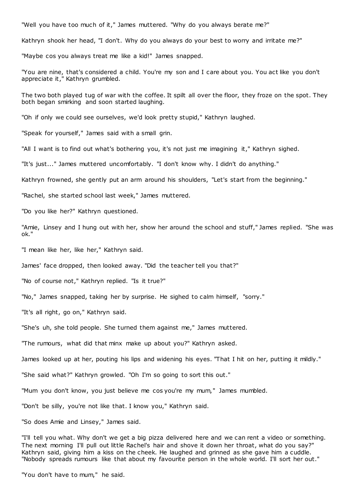"Well you have too much of it," James muttered. "Why do you always berate me?"

Kathryn shook her head, "I don't. Why do you always do your best to worry and irritate me?"

"Maybe cos you always treat me like a kid!" James snapped.

"You are nine, that's considered a child. You're my son and I care about you. You act like you don't appreciate it," Kathryn grumbled.

The two both played tug of war with the coffee. It spilt all over the floor, they froze on the spot. They both began smirking and soon started laughing.

"Oh if only we could see ourselves, we'd look pretty stupid," Kathryn laughed.

"Speak for yourself," James said with a small grin.

"All I want is to find out what's bothering you, it's not just me imagining it," Kathryn sighed.

"It's just..." James muttered uncomfortably. "I don't know why. I didn't do anything."

Kathryn frowned, she gently put an arm around his shoulders, "Let's start from the beginning."

"Rachel, she started school last week," James muttered.

"Do you like her?" Kathryn questioned.

"Amie, Linsey and I hung out with her, show her around the school and stuff," James replied. "She was ok."

"I mean like her, like her," Kathryn said.

James' face dropped, then looked away. "Did the teacher tell you that?"

"No of course not," Kathryn replied. "Is it true?"

"No," James snapped, taking her by surprise. He sighed to calm himself, "sorry."

"It's all right, go on," Kathryn said.

"She's uh, she told people. She turned them against me," James muttered.

"The rumours, what did that minx make up about you?" Kathryn asked.

James looked up at her, pouting his lips and widening his eyes. "That I hit on her, putting it mildly."

"She said what?" Kathryn growled. "Oh I'm so going to sort this out."

"Mum you don't know, you just believe me cos you're my mum," James mumbled.

"Don't be silly, you're not like that. I know you," Kathryn said.

"So does Amie and Linsey," James said.

"I'll tell you what. Why don't we get a big pizza delivered here and we can rent a video or something. The next morning I'll pull out little Rachel's hair and shove it down her throat, what do you say?" Kathryn said, giving him a kiss on the cheek. He laughed and grinned as she gave him a cuddle. "Nobody spreads rumours like that about my favourite person in the whole world. I'll sort her out."

"You don't have to mum," he said.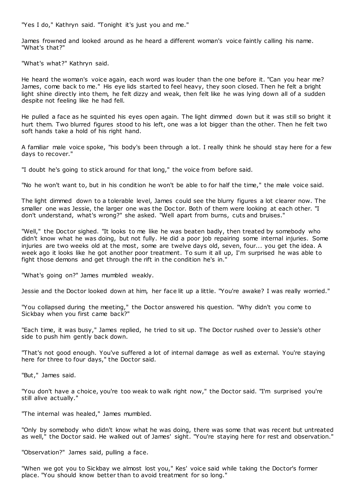"Yes I do," Kathryn said. "Tonight it's just you and me."

James frowned and looked around as he heard a different woman's voice faintly calling his name. "What's that?"

"What's what?" Kathryn said.

He heard the woman's voice again, each word was louder than the one before it. "Can you hear me? James, come back to me." His eye lids started to feel heavy, they soon closed. Then he felt a bright light shine directly into them, he felt dizzy and weak, then felt like he was lying down all of a sudden despite not feeling like he had fell.

He pulled a face as he squinted his eyes open again. The light dimmed down but it was still so bright it hurt them. Two blurred figures stood to his left, one was a lot bigger than the other. Then he felt two soft hands take a hold of his right hand.

A familiar male voice spoke, "his body's been through a lot. I really think he should stay here for a few days to recover."

"I doubt he's going to stick around for that long," the voice from before said.

"No he won't want to, but in his condition he won't be able to for half the time," the male voice said.

The light dimmed down to a tolerable level, James could see the blurry figures a lot clearer now. The smaller one was Jessie, the larger one was the Doctor. Both of them were looking at each other. "I don't understand, what's wrong?" she asked. "Well apart from burns, cuts and bruises."

"Well," the Doctor sighed. "It looks to me like he was beaten badly, then treated by somebody who didn't know what he was doing, but not fully. He did a poor job repairing some internal injuries. Some injuries are two weeks old at the most, some are twelve days old, seven, four... you get the idea. A week ago it looks like he got another poor treatment. To sum it all up, I'm surprised he was able to fight those demons and get through the rift in the condition he's in."

"What's going on?" James mumbled weakly.

Jessie and the Doctor looked down at him, her face lit up a little. "You're awake? I was really worried."

"You collapsed during the meeting," the Doctor answered his question. "Why didn't you come to Sickbay when you first came back?"

"Each time, it was busy," James replied, he tried to sit up. The Doctor rushed over to Jessie's other side to push him gently back down.

"That's not good enough. You've suffered a lot of internal damage as well as external. You're staying here for three to four days," the Doctor said.

"But," James said.

"You don't have a choice, you're too weak to walk right now," the Doctor said. "I'm surprised you're still alive actually."

"The internal was healed," James mumbled.

"Only by somebody who didn't know what he was doing, there was some that was recent but untreated as well," the Doctor said. He walked out of James' sight. "You're staying here for rest and observation."

"Observation?" James said, pulling a face.

"When we got you to Sickbay we almost lost you," Kes' voice said while taking the Doctor's former place. "You should know better than to avoid treatment for so long."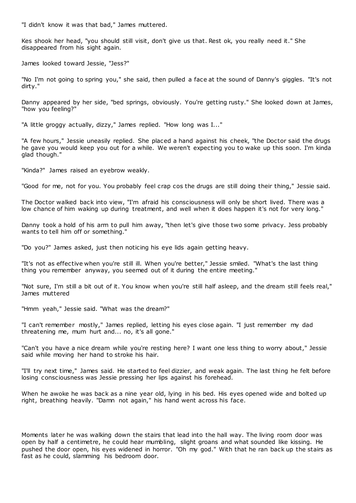"I didn't know it was that bad," James muttered.

Kes shook her head, "you should still visit, don't give us that. Rest ok, you really need it." She disappeared from his sight again.

James looked toward Jessie, "Jess?"

"No I'm not going to spring you," she said, then pulled a face at the sound of Danny's giggles. "It's not dirty."

Danny appeared by her side, "bed springs, obviously. You're getting rusty." She looked down at James, "how you feeling?"

"A little groggy actually, dizzy," James replied. "How long was I..."

"A few hours," Jessie uneasily replied. She placed a hand against his cheek, "the Doctor said the drugs he gave you would keep you out for a while. We weren't expecting you to wake up this soon. I'm kinda glad though."

"Kinda?" James raised an eyebrow weakly.

"Good for me, not for you. You probably feel crap cos the drugs are still doing their thing," Jessie said.

The Doctor walked back into view, "I'm afraid his consciousness will only be short lived. There was a low chance of him waking up during treatment, and well when it does happen it's not for very long."

Danny took a hold of his arm to pull him away, "then let's give those two some privacy. Jess probably wants to tell him off or something."

"Do you?" James asked, just then noticing his eye lids again getting heavy.

"It's not as effective when you're still ill. When you're better," Jessie smiled. "What's the last thing thing you remember anyway, you seemed out of it during the entire meeting."

"Not sure, I'm still a bit out of it. You know when you're still half asleep, and the dream still feels real," James muttered

"Hmm yeah," Jessie said. "What was the dream?"

"I can't remember mostly," James replied, letting his eyes close again. "I just remember my dad threatening me, mum hurt and... no, it's all gone."

"Can't you have a nice dream while you're resting here? I want one less thing to worry about," Jessie said while moving her hand to stroke his hair.

"I'll try next time," James said. He started to feel dizzier, and weak again. The last thing he felt before losing consciousness was Jessie pressing her lips against his forehead.

When he awoke he was back as a nine year old, lying in his bed. His eyes opened wide and bolted up right, breathing heavily. "Damn not again," his hand went across his face.

Moments later he was walking down the stairs that lead into the hall way. The living room door was open by half a centimetre, he could hear mumbling, slight groans and what sounded like kissing. He pushed the door open, his eyes widened in horror. "Oh my god." With that he ran back up the stairs as fast as he could, slamming his bedroom door.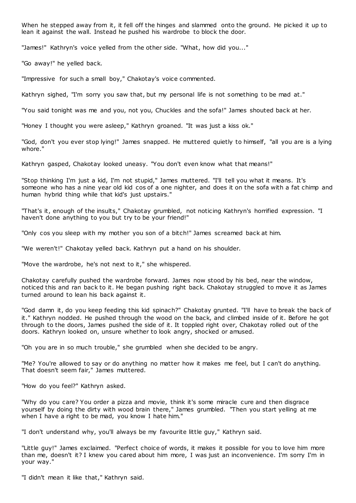When he stepped away from it, it fell off the hinges and slammed onto the ground. He picked it up to lean it against the wall. Instead he pushed his wardrobe to block the door.

"James!" Kathryn's voice yelled from the other side. "What, how did you..."

"Go away!" he yelled back.

"Impressive for such a small boy," Chakotay's voice commented.

Kathryn sighed, "I'm sorry you saw that, but my personal life is not something to be mad at."

"You said tonight was me and you, not you, Chuckles and the sofa!" James shouted back at her.

"Honey I thought you were asleep," Kathryn groaned. "It was just a kiss ok."

"God, don't you ever stop lying!" James snapped. He muttered quietly to himself, "all you are is a lying whore."

Kathryn gasped, Chakotay looked uneasy. "You don't even know what that means!"

"Stop thinking I'm just a kid, I'm not stupid," James muttered. "I'll tell you what it means. It's someone who has a nine year old kid cos of a one nighter, and does it on the sofa with a fat chimp and human hybrid thing while that kid's just upstairs."

"That's it, enough of the insults," Chakotay grumbled, not noticing Kathryn's horrified expression. "I haven't done anything to you but try to be your friend!"

"Only cos you sleep with my mother you son of a bitch!" James screamed back at him.

"We weren't!" Chakotay yelled back. Kathryn put a hand on his shoulder.

"Move the wardrobe, he's not next to it," she whispered.

Chakotay carefully pushed the wardrobe forward. James now stood by his bed, near the window, noticed this and ran back to it. He began pushing right back. Chakotay struggled to move it as James turned around to lean his back against it.

"God damn it, do you keep feeding this kid spinach?" Chakotay grunted. "I'll have to break the back of it." Kathryn nodded. He pushed through the wood on the back, and climbed inside of it. Before he got through to the doors, James pushed the side of it. It toppled right over, Chakotay rolled out of the doors. Kathryn looked on, unsure whether to look angry, shocked or amused.

"Oh you are in so much trouble," she grumbled when she decided to be angry.

"Me? You're allowed to say or do anything no matter how it makes me feel, but I can't do anything. That doesn't seem fair," James muttered.

"How do you feel?" Kathryn asked.

"Why do you care? You order a pizza and movie, think it's some miracle cure and then disgrace yourself by doing the dirty with wood brain there," James grumbled. "Then you start yelling at me when I have a right to be mad, you know I hate him."

"I don't understand why, you'll always be my favourite little guy," Kathryn said.

"Little guy!" James exclaimed. "Perfect choice of words, it makes it possible for you to love him more than me, doesn't it? I knew you cared about him more, I was just an inconvenience. I'm sorry I'm in your way."

"I didn't mean it like that," Kathryn said.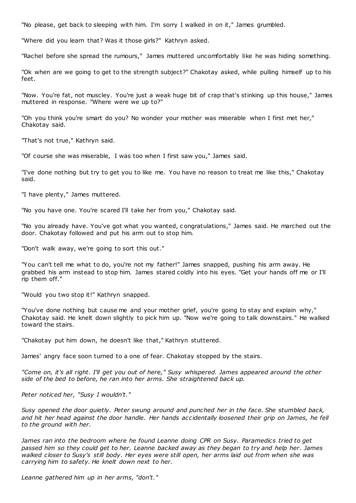"No please, get back to sleeping with him. I'm sorry I walked in on it," James grumbled.

"Where did you learn that? Was it those girls?" Kathryn asked.

"Rachel before she spread the rumours," James muttered uncomfortably like he was hiding something.

"Ok when are we going to get to the strength subject?" Chakotay asked, while pulling himself up to his feet.

"Now. You're fat, not muscley. You're just a weak huge bit of crap that's stinking up this house," James muttered in response. "Where were we up to?"

"Oh you think you're smart do you? No wonder your mother was miserable when I first met her," Chakotay said.

"That's not true," Kathryn said.

"Of course she was miserable, I was too when I first saw you," James said.

"I've done nothing but try to get you to like me. You have no reason to treat me like this," Chakotay said.

"I have plenty," James muttered.

"No you have one. You're scared I'll take her from you," Chakotay said.

"No you already have. You've got what you wanted, c ongratulations," James said. He marched out the door. Chakotay followed and put his arm out to stop him.

"Don't walk away, we're going to sort this out."

"You can't tell me what to do, you're not my father!" James snapped, pushing his arm away. He grabbed his arm instead to stop him. James stared coldly into his eyes. "Get your hands off me or I'll rip them off."

"Would you two stop it!" Kathryn snapped.

"You've done nothing but cause me and your mother grief, you're going to stay and explain why," Chakotay said. He knelt down slightly to pick him up. "Now we're going to talk downstairs." He walked toward the stairs.

"Chakotay put him down, he doesn't like that," Kathryn stuttered.

James' angry face soon turned to a one of fear. Chakotay stopped by the stairs.

*"Come on, it's all right. I'll get you out of here," Susy whispered. James appeared around the other side of the bed to before, he ran into her arms. She straightened back up.*

*Peter noticed her, "Susy I wouldn't."*

*Susy opened the door quietly. Peter swung around and punched her in the face. She stumbled back, and hit her head against the door handle. Her hands accidentally loosened their grip on James, he fell to the ground with her.*

*James ran into the bedroom where he found Leanne doing CPR on Susy. Paramedics tried to get passed him so they could get to her. Leanne backed away as they began to try and help her. James walked closer to Susy's still body. Her eyes were still open, her arms laid out from when she was carrying him to safety. He knelt down next to her.*

*Leanne gathered him up in her arms, "don't."*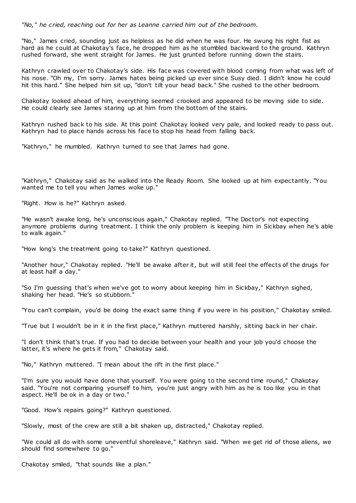*"No," he cried, reaching out for her as Leanne carried him out of the bedroom.*

"No," James cried, sounding just as helpless as he did when he was four. He swung his right fist as hard as he could at Chakotay's face, he dropped him as he stumbled backward to the ground. Kathryn rushed forward, she went straight for James. He just grunted before running down the stairs.

Kathryn crawled over to Chakotay's side. His face was covered with blood coming from what was left of his nose. "Oh my, I'm sorry. James hates being picked up ever since Susy died. I didn't know he could hit this hard." She helped him sit up, "don't tilt your head back." She rushed to the other bedroom.

Chakotay looked ahead of him, everything seemed crooked and appeared to be moving side to side. He could clearly see James staring up at him from the bottom of the stairs.

Kathryn rushed back to his side. At this point Chakotay looked very pale, and looked ready to pass out. Kathryn had to place hands across his face to stop his head from falling back.

"Kathryn," he mumbled. Kathryn turned to see that James had gone.

"Kathryn," Chakotay said as he walked into the Ready Room. She looked up at him expectantly. "You wanted me to tell you when James woke up."

"Right. How is he?" Kathryn asked.

"He wasn't awake long, he's unconscious again," Chakotay replied. "The Doctor's not expecting anymore problems during treatment. I think the only problem is keeping him in Sickbay when he's able to walk again."

"How long's the treatment going to take?" Kathryn questioned.

"Another hour," Chakotay replied. "He'll be awake after it, but will still feel the effects of the drugs for at least half a day."

"So I'm guessing that's when we've got to worry about keeping him in Sickbay," Kathryn sighed, shaking her head. "He's so stubborn."

"You can't complain, you'd be doing the exact same thing if you were in his position," Chakotay smiled.

"True but I wouldn't be in it in the first place," Kathryn muttered harshly, sitting back in her chair.

"I don't think that's true. If you had to decide between your health and your job you'd choose the latter, it's where he gets it from," Chakotay said.

"No," Kathryn muttered. "I mean about the rift in the first place."

"I'm sure you would have done that yourself. You were going to the second time round," Chakotay said. "You're not comparing yourself to him, you're just angry with him as he is too like you in that aspect. He'll be ok in a day or two."

"Good. How's repairs going?" Kathryn questioned.

"Slowly, most of the crew are still a bit shaken up, distracted," Chakotay replied.

"We could all do with some uneventful shoreleave," Kathryn said. "When we get rid of those aliens, we should find somewhere to go."

Chakotay smiled, "that sounds like a plan."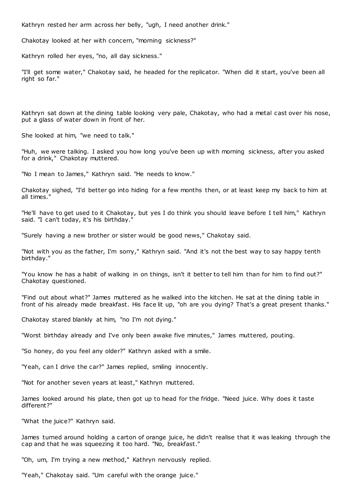Kathryn rested her arm across her belly, "ugh, I need another drink."

Chakotay looked at her with concern, "morning sickness?"

Kathryn rolled her eyes, "no, all day sickness."

"I'll get some water," Chakotay said, he headed for the replicator. "When did it start, you've been all right so far."

Kathryn sat down at the dining table looking very pale, Chakotay, who had a metal cast over his nose, put a glass of water down in front of her.

She looked at him, "we need to talk."

"Huh, we were talking. I asked you how long you've been up with morning sickness, after you asked for a drink," Chakotay muttered.

"No I mean to James," Kathryn said. "He needs to know."

Chakotay sighed, "I'd better go into hiding for a few months then, or at least keep my back to him at all times."

"He'll have to get used to it Chakotay, but yes I do think you should leave before I tell him," Kathryn said. "I can't today, it's his birthday."

"Surely having a new brother or sister would be good news," Chakotay said.

"Not with you as the father, I'm sorry," Kathryn said. "And it's not the best way to say happy tenth birthday."

"You know he has a habit of walking in on things, isn't it better to tell him than for him to find out?" Chakotay questioned.

"Find out about what?" James muttered as he walked into the kitchen. He sat at the dining table in front of his already made breakfast. His face lit up, "oh are you dying? That's a great present thanks."

Chakotay stared blankly at him, "no I'm not dying."

"Worst birthday already and I've only been awake five minutes," James muttered, pouting.

"So honey, do you feel any older?" Kathryn asked with a smile.

"Yeah, can I drive the car?" James replied, smiling innocently.

"Not for another seven years at least," Kathryn muttered.

James looked around his plate, then got up to head for the fridge. "Need juice. Why does it taste different?"

"What the juice?" Kathryn said.

James turned around holding a carton of orange juice, he didn't realise that it was leaking through the cap and that he was squeezing it too hard. "No, breakfast."

"Oh, um, I'm trying a new method," Kathryn nervously replied.

"Yeah," Chakotay said. "Um careful with the orange juice."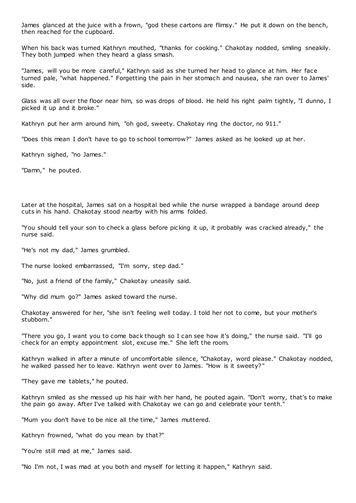James glanced at the juice with a frown, "god these cartons are flimsy." He put it down on the bench, then reached for the cupboard.

When his back was turned Kathryn mouthed, "thanks for cooking." Chakotay nodded, smiling sneakily. They both jumped when they heard a glass smash.

"James, will you be more careful," Kathryn said as she turned her head to glance at him. Her face turned pale, "what happened." Forgetting the pain in her stomach and nausea, she ran over to James' side.

Glass was all over the floor near him, so was drops of blood. He held his right palm tightly, "I dunno, I picked it up and it broke."

Kathryn put her arm around him, "oh god, sweety. Chakotay ring the doctor, no 911."

"Does this mean I don't have to go to school tomorrow?" James asked as he looked up at her.

Kathryn sighed, "no James."

"Damn," he pouted.

Later at the hospital, James sat on a hospital bed while the nurse wrapped a bandage around deep cuts in his hand. Chakotay stood nearby with his arms folded.

"You should tell your son to check a glass before picking it up, it probably was cracked already," the nurse said.

"He's not my dad," James grumbled.

The nurse looked embarrassed, "I'm sorry, step dad."

"No, just a friend of the family," Chakotay uneasily said.

"Why did mum go?" James asked toward the nurse.

Chakotay answered for her, "she isn't feeling well today. I told her not to come, but your mother's stubborn."

"There you go, I want you to come back though so I can see how it's doing," the nurse said. "I'll go check for an empty appointment slot, excuse me." She left the room.

Kathryn walked in after a minute of uncomfortable silence, "Chakotay, word please." Chakotay nodded, he walked passed her to leave. Kathryn went over to James. "How is it sweety?"

"They gave me tablets," he pouted.

Kathryn smiled as she messed up his hair with her hand, he pouted again. "Don't worry, that's to make the pain go away. After I've talked with Chakotay we can go and celebrate your tenth."

"Mum you don't have to be nice all the time," James muttered.

Kathryn frowned, "what do you mean by that?"

"You're still mad at me," James said.

"No I'm not, I was mad at you both and myself for letting it happen," Kathryn said.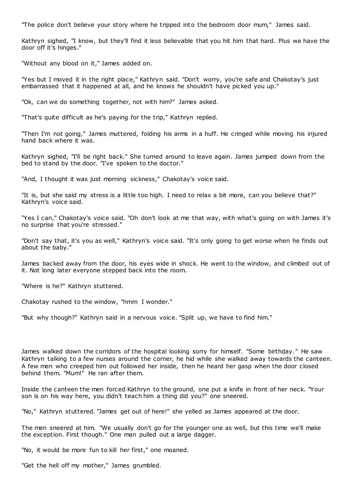"The police don't believe your story where he tripped into the bedroom door mum," James said.

Kathryn sighed, "I know, but they'll find it less believable that you hit him that hard. Plus we have the door off it's hinges."

"Without any blood on it," James added on.

"Yes but I moved it in the right place," Kathryn said. "Don't worry, you're safe and Chakotay's just embarrassed that it happened at all, and he knows he shouldn't have picked you up."

"Ok, can we do something together, not with him?" James asked.

"That's quite difficult as he's paying for the trip," Kathryn replied.

"Then I'm not going," James muttered, folding his arms in a huff. He cringed while moving his injured hand back where it was.

Kathryn sighed, "I'll be right back." She turned around to leave again. James jumped down from the bed to stand by the door. "I've spoken to the doctor."

"And, I thought it was just morning sickness," Chakotay's voice said.

"It is, but she said my stress is a little too high. I need to relax a bit more, can you believe that?" Kathryn's voice said.

"Yes I can," Chakotay's voice said. "Oh don't look at me that way, with what's going on with James it's no surprise that you're stressed."

"Don't say that, it's you as well," Kathryn's voice said. "It's only going to get worse when he finds out about the baby."

James backed away from the door, his eyes wide in shock. He went to the window, and climbed out of it. Not long later everyone stepped back into the room.

"Where is he?" Kathryn stuttered.

Chakotay rushed to the window, "hmm I wonder."

"But why though?" Kathryn said in a nervous voice. "Split up, we have to find him."

James walked down the corridors of the hospital looking sorry for himself. "Some birthday. " He saw Kathryn talking to a few nurses around the corner, he hid while she walked away towards the canteen. A few men who creeped him out followed her inside, then he heard her gasp when the door closed behind them. "Mum!" He ran after them.

Inside the canteen the men forced Kathryn to the ground, one put a knife in front of her neck. "Your son is on his way here, you didn't teach him a thing did you?" one sneered.

"No," Kathryn stuttered. "James get out of here!" she yelled as James appeared at the door.

The men sneered at him. "We usually don't go for the younger one as well, but this time we'll make the exception. First though." One man pulled out a large dagger.

"No, it would be more fun to kill her first," one moaned.

"Get the hell off my mother," James grumbled.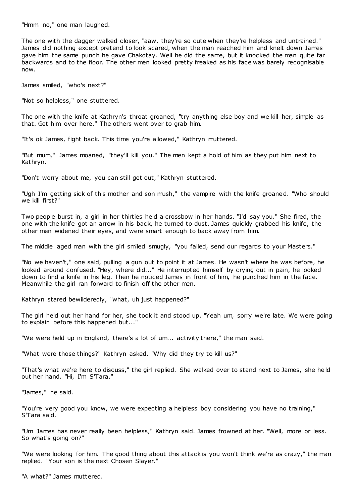"Hmm no," one man laughed.

The one with the dagger walked closer, "aaw, they're so cute when they're helpless and untrained." James did nothing except pretend to look scared, when the man reached him and knelt down James gave him the same punch he gave Chakotay. Well he did the same, but it knocked the man quite far backwards and to the floor. The other men looked pretty freaked as his face was barely recognisable now.

James smiled, "who's next?"

"Not so helpless," one stuttered.

The one with the knife at Kathryn's throat groaned, "try anything else boy and we kill her, simple as that. Get him over here." The others went over to grab him.

"It's ok James, fight back. This time you're allowed," Kathryn muttered.

"But mum," James moaned, "they'll kill you." The men kept a hold of him as they put him next to Kathryn.

"Don't worry about me, you can still get out," Kathryn stuttered.

"Ugh I'm getting sick of this mother and son mush," the vampire with the knife groaned. "Who should we kill first?"

Two people burst in, a girl in her thirties held a crossbow in her hands. "I'd say you." She fired, the one with the knife got an arrow in his back, he turned to dust. James quickly grabbed his knife, the other men widened their eyes, and were smart enough to back away from him.

The middle aged man with the girl smiled smugly, "you failed, send our regards to your Masters."

"No we haven't," one said, pulling a gun out to point it at James. He wasn't where he was before, he looked around confused. "Hey, where did..." He interrupted himself by crying out in pain, he looked down to find a knife in his leg. Then he noticed James in front of him, he punched him in the face. Meanwhile the girl ran forward to finish off the other men.

Kathryn stared bewilderedly, "what, uh just happened?"

The girl held out her hand for her, she took it and stood up. "Yeah um, sorry we're late. We were going to explain before this happened but..."

"We were held up in England, there's a lot of um... activity there," the man said.

"What were those things?" Kathryn asked. "Why did they try to kill us?"

"That's what we're here to discuss," the girl replied. She walked over to stand next to James, she he ld out her hand. "Hi, I'm S'Tara."

"James," he said.

"You're very good you know, we were expecting a helpless boy considering you have no training," S'Tara said.

"Um James has never really been helpless," Kathryn said. James frowned at her. "Well, more or less. So what's going on?"

"We were looking for him. The good thing about this attack is you won't think we're as crazy," the man replied. "Your son is the next Chosen Slayer."

"A what?" James muttered.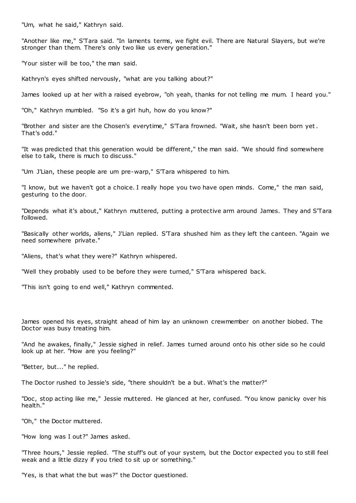"Um, what he said," Kathryn said.

"Another like me," S'Tara said. "In laments terms, we fight evil. There are Natural Slayers, but we're stronger than them. There's only two like us every generation."

"Your sister will be too," the man said.

Kathryn's eyes shifted nervously, "what are you talking about?"

James looked up at her with a raised eyebrow, "oh yeah, thanks for not telling me mum. I heard you."

"Oh," Kathryn mumbled. "So it's a girl huh, how do you know?"

"Brother and sister are the Chosen's everytime," S'Tara frowned. "Wait, she hasn't been born yet . That's odd."

"It was predicted that this generation would be different," the man said. "We should find somewhere else to talk, there is much to discuss."

"Um J'Lian, these people are um pre-warp," S'Tara whispered to him.

"I know, but we haven't got a choice. I really hope you two have open minds. Come," the man said, gesturing to the door.

"Depends what it's about," Kathryn muttered, putting a protective arm around James. They and S'Tara followed.

"Basically other worlds, aliens," J'Lian replied. S'Tara shushed him as they left the canteen. "Again we need somewhere private."

"Aliens, that's what they were?" Kathryn whispered.

"Well they probably used to be before they were turned," S'Tara whispered back.

"This isn't going to end well," Kathryn commented.

James opened his eyes, straight ahead of him lay an unknown crewmember on another biobed. The Doctor was busy treating him.

"And he awakes, finally," Jessie sighed in relief. James turned around onto his other side so he could look up at her. "How are you feeling?"

"Better, but..." he replied.

The Doctor rushed to Jessie's side, "there shouldn't be a but. What's the matter?"

"Doc, stop acting like me," Jessie muttered. He glanced at her, confused. "You know panicky over his health."

"Oh," the Doctor muttered.

"How long was I out?" James asked.

"Three hours," Jessie replied. "The stuff's out of your system, but the Doctor expected you to still feel weak and a little dizzy if you tried to sit up or something."

"Yes, is that what the but was?" the Doctor questioned.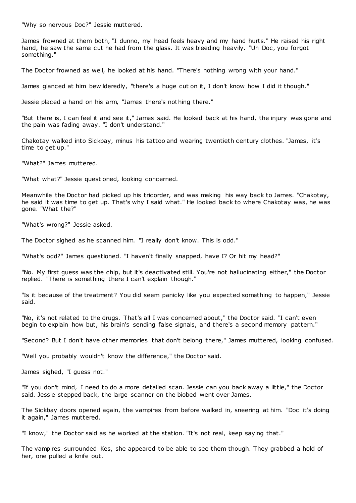"Why so nervous Doc?" Jessie muttered.

James frowned at them both, "I dunno, my head feels heavy and my hand hurts." He raised his right hand, he saw the same cut he had from the glass. It was bleeding heavily. "Uh Doc, you forgot something."

The Doctor frowned as well, he looked at his hand. "There's nothing wrong with your hand."

James glanced at him bewilderedly, "there's a huge cut on it, I don't know how I did it though."

Jessie placed a hand on his arm, "James there's nothing there."

"But there is, I can feel it and see it," James said. He looked back at his hand, the injury was gone and the pain was fading away. "I don't understand."

Chakotay walked into Sickbay, minus his tattoo and wearing twentieth century clothes. "James, it's time to get up."

"What?" James muttered.

"What what?" Jessie questioned, looking concerned.

Meanwhile the Doctor had picked up his tricorder, and was making his way back to James. "Chakotay, he said it was time to get up. That's why I said what." He looked back to where Chakotay was, he was gone. "What the?"

"What's wrong?" Jessie asked.

The Doctor sighed as he scanned him. "I really don't know. This is odd."

"What's odd?" James questioned. "I haven't finally snapped, have I? Or hit my head?"

"No. My first guess was the chip, but it's deactivated still. You're not hallucinating either," the Doctor replied. "There is something there I can't explain though."

"Is it because of the treatment? You did seem panicky like you expected something to happen," Jessie said.

"No, it's not related to the drugs. That's all I was concerned about," the Doctor said. "I can't even begin to explain how but, his brain's sending false signals, and there's a second memory pattern."

"Second? But I don't have other memories that don't belong there," James muttered, looking confused.

"Well you probably wouldn't know the difference," the Doctor said.

James sighed, "I guess not."

"If you don't mind, I need to do a more detailed scan. Jessie can you back away a little," the Doctor said. Jessie stepped back, the large scanner on the biobed went over James.

The Sickbay doors opened again, the vampires from before walked in, sneering at him. "Doc it's doing it again," James muttered.

"I know," the Doctor said as he worked at the station. "It's not real, keep saying that."

The vampires surrounded Kes, she appeared to be able to see them though. They grabbed a hold of her, one pulled a knife out.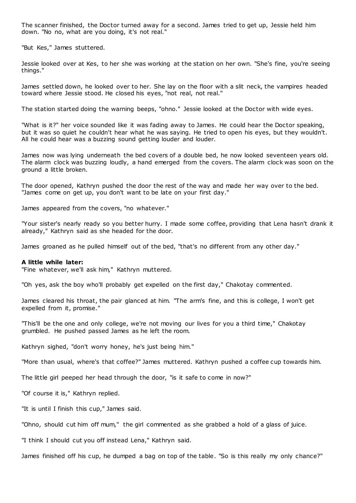The scanner finished, the Doctor turned away for a second. James tried to get up, Jessie held him down. "No no, what are you doing, it's not real."

"But Kes," James stuttered.

Jessie looked over at Kes, to her she was working at the station on her own. "She's fine, you're seeing things."

James settled down, he looked over to her. She lay on the floor with a slit neck, the vampires headed toward where Jessie stood. He closed his eyes, "not real, not real."

The station started doing the warning beeps, "ohno." Jessie looked at the Doctor with wide eyes.

"What is it?" her voice sounded like it was fading away to James. He could hear the Doctor speaking, but it was so quiet he couldn't hear what he was saying. He tried to open his eyes, but they wouldn't. All he could hear was a buzzing sound getting louder and louder.

James now was lying underneath the bed covers of a double bed, he now looked seventeen years old. The alarm clock was buzzing loudly, a hand emerged from the covers. The alarm clock was soon on the ground a little broken.

The door opened, Kathryn pushed the door the rest of the way and made her way over to the bed. "James come on get up, you don't want to be late on your first day."

James appeared from the covers, "no whatever."

"Your sister's nearly ready so you better hurry. I made some coffee, providing that Lena hasn't drank it already," Kathryn said as she headed for the door.

James groaned as he pulled himself out of the bed, "that's no different from any other day."

### **A little while later:**

"Fine whatever, we'll ask him," Kathryn muttered.

"Oh yes, ask the boy who'll probably get expelled on the first day," Chakotay commented.

James cleared his throat, the pair glanced at him. "The arm's fine, and this is college, I won't get expelled from it, promise."

"This'll be the one and only college, we're not moving our lives for you a third time," Chakotay grumbled. He pushed passed James as he left the room.

Kathryn sighed, "don't worry honey, he's just being him."

"More than usual, where's that coffee?" James muttered. Kathryn pushed a coffee cup towards him.

The little girl peeped her head through the door, "is it safe to come in now?"

"Of course it is," Kathryn replied.

"It is until I finish this cup," James said.

"Ohno, should cut him off mum," the girl commented as she grabbed a hold of a glass of juice.

"I think I should cut you off instead Lena," Kathryn said.

James finished off his cup, he dumped a bag on top of the table. "So is this really my only chance?"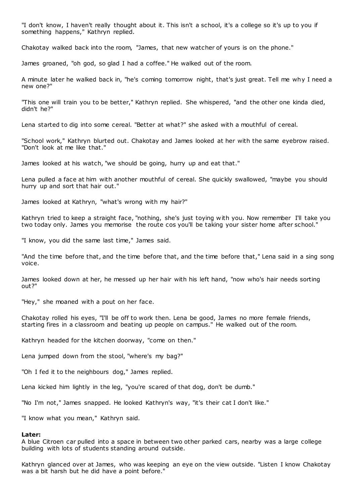"I don't know, I haven't really thought about it. This isn't a school, it's a college so it's up to you if something happens," Kathryn replied.

Chakotay walked back into the room, "James, that new watcher of yours is on the phone."

James groaned, "oh god, so glad I had a coffee." He walked out of the room.

A minute later he walked back in, "he's coming tomorrow night, that's just great. Tell me why I need a new one?"

"This one will train you to be better," Kathryn replied. She whispered, "and the other one kinda died, didn't he?"

Lena started to dig into some cereal. "Better at what?" she asked with a mouthful of cereal.

"School work," Kathryn blurted out. Chakotay and James looked at her with the same eyebrow raised. "Don't look at me like that."

James looked at his watch, "we should be going, hurry up and eat that."

Lena pulled a face at him with another mouthful of cereal. She quickly swallowed, "maybe you should hurry up and sort that hair out."

James looked at Kathryn, "what's wrong with my hair?"

Kathryn tried to keep a straight face, "nothing, she's just toying with you. Now remember I'll take you two today only. James you memorise the route cos you'll be taking your sister home after school.'

"I know, you did the same last time," James said.

"And the time before that, and the time before that, and the time before that," Lena said in a sing song voice.

James looked down at her, he messed up her hair with his left hand, "now who's hair needs sorting out?"

"Hey," she moaned with a pout on her face.

Chakotay rolled his eyes, "I'll be off to work then. Lena be good, James no more female friends, starting fires in a classroom and beating up people on campus." He walked out of the room.

Kathryn headed for the kitchen doorway, "come on then."

Lena jumped down from the stool, "where's my bag?"

"Oh I fed it to the neighbours dog," James replied.

Lena kicked him lightly in the leg, "you're scared of that dog, don't be dumb."

"No I'm not," James snapped. He looked Kathryn's way, "it's their cat I don't like."

"I know what you mean," Kathryn said.

# **Later:**

A blue Citroen car pulled into a space in between two other parked cars, nearby was a large college building with lots of students standing around outside.

Kathryn glanced over at James, who was keeping an eye on the view outside. "Listen I know Chakotay was a bit harsh but he did have a point before."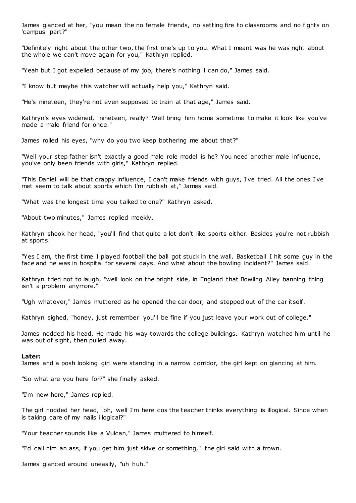James glanced at her, "you mean the no female friends, no setting fire to classrooms and no fights on 'campus' part?"

"Definitely right about the other two, the first one's up to you. What I meant was he was right about the whole we can't move again for you," Kathryn replied.

"Yeah but I got expelled because of my job, there's nothing I can do," James said.

"I know but maybe this watcher will actually help you," Kathryn said.

"He's nineteen, they're not even supposed to train at that age," James said.

Kathryn's eyes widened, "nineteen, really? Well bring him home sometime to make it look like you've made a male friend for once."

James rolled his eyes, "why do you two keep bothering me about that?"

"Well your step father isn't exactly a good male role model is he? You need another male influence, you've only been friends with girls," Kathryn replied.

"This Daniel will be that crappy influence, I can't make friends with guys, I've tried. All the ones I've met seem to talk about sports which I'm rubbish at," James said.

"What was the longest time you talked to one?" Kathryn asked.

"About two minutes," James replied meekly.

Kathryn shook her head, "you'll find that quite a lot don't like sports either. Besides you're not rubbish at sports."

"Yes I am, the first time I played football the ball got stuck in the wall. Basketball I hit some guy in the face and he was in hospital for several days. And what about the bowling incident?" James said.

Kathryn tried not to laugh, "well look on the bright side, in England that Bowling Alley banning thing isn't a problem anymore."

"Ugh whatever," James muttered as he opened the car door, and stepped out of the car itself.

Kathryn sighed, "honey, just remember you'll be fine if you just leave your work out of college."

James nodded his head. He made his way towards the college buildings. Kathryn watched him until he was out of sight, then pulled away.

### **Later:**

James and a posh looking girl were standing in a narrow corridor, the girl kept on glancing at him.

"So what are you here for?" she finally asked.

"I'm new here," James replied.

The girl nodded her head, "oh, well I'm here cos the teacher thinks everything is illogical. Since when is taking care of my nails illogical?"

"Your teacher sounds like a Vulcan," James muttered to himself.

"I'd call him an ass, if you get him just skive or something," the girl said with a frown.

James glanced around uneasily, "uh huh."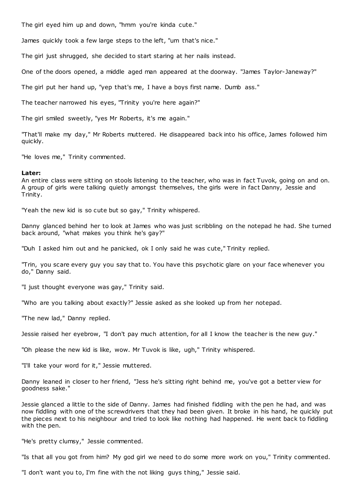The girl eyed him up and down, "hmm you're kinda cute."

James quickly took a few large steps to the left, "um that's nice."

The girl just shrugged, she decided to start staring at her nails instead.

One of the doors opened, a middle aged man appeared at the doorway. "James Taylor-Janeway?"

The girl put her hand up, "yep that's me, I have a boys first name. Dumb ass."

The teacher narrowed his eyes, "Trinity you're here again?"

The girl smiled sweetly, "yes Mr Roberts, it's me again."

"That'll make my day," Mr Roberts muttered. He disappeared back into his office, James followed him quickly.

"He loves me," Trinity commented.

## **Later:**

An entire class were sitting on stools listening to the teacher, who was in fact Tuvok, going on and on. A group of girls were talking quietly amongst themselves, the girls were in fact Danny, Jessie and Trinity.

"Yeah the new kid is so cute but so gay," Trinity whispered.

Danny glanced behind her to look at James who was just scribbling on the notepad he had. She turned back around, "what makes you think he's gay?"

"Duh I asked him out and he panicked, ok I only said he was cute," Trinity replied.

"Trin, you scare every guy you say that to. You have this psychotic glare on your face whenever you do," Danny said.

"I just thought everyone was gay," Trinity said.

"Who are you talking about exactly?" Jessie asked as she looked up from her notepad.

"The new lad," Danny replied.

Jessie raised her eyebrow, "I don't pay much attention, for all I know the teacher is the new guy."

"Oh please the new kid is like, wow. Mr Tuvok is like, ugh," Trinity whispered.

"I'll take your word for it," Jessie muttered.

Danny leaned in closer to her friend, "Jess he's sitting right behind me, you've got a better view for goodness sake."

Jessie glanced a little to the side of Danny. James had finished fiddling with the pen he had, and was now fiddling with one of the screwdrivers that they had been given. It broke in his hand, he quickly put the pieces next to his neighbour and tried to look like nothing had happened. He went back to fiddling with the pen.

"He's pretty clumsy," Jessie commented.

"Is that all you got from him? My god girl we need to do some more work on you," Trinity commented.

"I don't want you to, I'm fine with the not liking guys thing," Jessie said.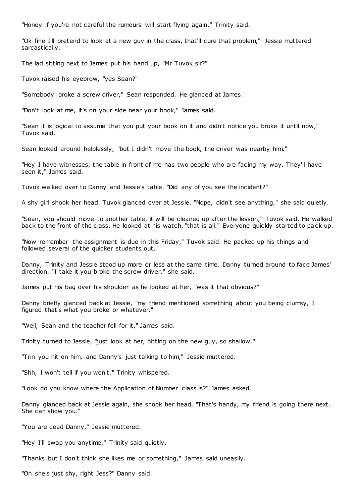"Honey if you're not careful the rumours will start flying again," Trinity said.

"Ok fine I'll pretend to look at a new guy in the class, that'll cure that problem," Jessie muttered sarcastically.

The lad sitting next to James put his hand up, "Mr Tuvok sir?"

Tuvok raised his eyebrow, "yes Sean?"

"Somebody broke a screw driver," Sean responded. He glanced at James.

"Don't look at me, it's on your side near your book," James said.

"Sean it is logical to assume that you put your book on it and didn't notice you broke it until now," Tuvok said.

Sean looked around helplessly, "but I didn't move the book, the driver was nearby him."

"Hey I have witnesses, the table in front of me has two people who are facing my way. They'll have seen it," James said.

Tuvok walked over to Danny and Jessie's table. "Did any of you see the incident?"

A shy girl shook her head. Tuvok glanced over at Jessie. "Nope, didn't see anything," she said quietly.

"Sean, you should move to another table, it will be cleaned up after the lesson," Tuvok said. He walked back to the front of the class. He looked at his watch, "that is all." Everyone quickly started to pack up.

"Now remember the assignment is due in this Friday," Tuvok said. He packed up his things and followed several of the quicker students out.

Danny, Trinity and Jessie stood up more or less at the same time. Danny turned around to face James' direction. "I take it you broke the screw driver," she said.

James put his bag over his shoulder as he looked at her, "was it that obvious?"

Danny briefly glanced back at Jessie, "my friend mentioned something about you being clumsy, I figured that's what you broke or whatever."

"Well, Sean and the teacher fell for it," James said.

Trinity turned to Jessie, "just look at her, hitting on the new guy, so shallow."

"Trin you hit on him, and Danny's just talking to him," Jessie muttered.

"Shh, I won't tell if you won't," Trinity whispered.

"Look do you know where the Application of Number class is?" James asked.

Danny glanced back at Jessie again, she shook her head. "That's handy, my friend is going there next. She can show you."

"You are dead Danny," Jessie muttered.

"Hey I'll swap you anytime," Trinity said quietly.

"Thanks but I don't think she likes me or something," James said uneasily.

"Oh she's just shy, right Jess?" Danny said.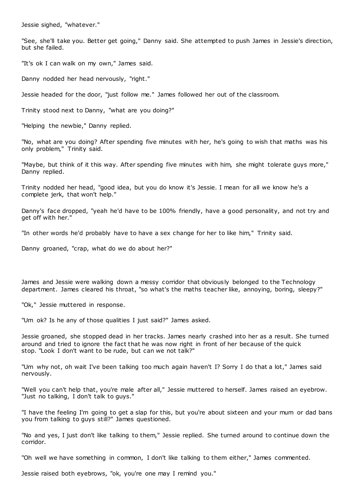Jessie sighed, "whatever."

"See, she'll take you. Better get going," Danny said. She attempted to push James in Jessie's direction, but she failed.

"It's ok I can walk on my own," James said.

Danny nodded her head nervously, "right."

Jessie headed for the door, "just follow me." James followed her out of the classroom.

Trinity stood next to Danny, "what are you doing?"

"Helping the newbie," Danny replied.

"No, what are you doing? After spending five minutes with her, he's going to wish that maths was his only problem," Trinity said.

"Maybe, but think of it this way. After spending five minutes with him, she might tolerate guys more," Danny replied.

Trinity nodded her head, "good idea, but you do know it's Jessie. I mean for all we know he's a complete jerk, that won't help."

Danny's face dropped, "yeah he'd have to be 100% friendly, have a good personality, and not try and get off with her."

"In other words he'd probably have to have a sex change for her to like him," Trinity said.

Danny groaned, "crap, what do we do about her?"

James and Jessie were walking down a messy corridor that obviously belonged to the Technology department. James cleared his throat, "so what's the maths teacher like, annoying, boring, sleepy?"

"Ok," Jessie muttered in response.

"Um ok? Is he any of those qualities I just said?" James asked.

Jessie groaned, she stopped dead in her tracks. James nearly crashed into her as a result. She turned around and tried to ignore the fact that he was now right in front of her because of the quick stop. "Look I don't want to be rude, but can we not talk?"

"Um why not, oh wait I've been talking too much again haven't I? Sorry I do that a lot," James said nervously.

"Well you can't help that, you're male after all," Jessie muttered to herself. James raised an eyebrow. "Just no talking, I don't talk to guys."

"I have the feeling I'm going to get a slap for this, but you're about sixteen and your mum or dad bans you from talking to guys still?" James questioned.

"No and yes, I just don't like talking to them," Jessie replied. She turned around to continue down the corridor.

"Oh well we have something in common, I don't like talking to them either," James commented.

Jessie raised both eyebrows, "ok, you're one may I remind you."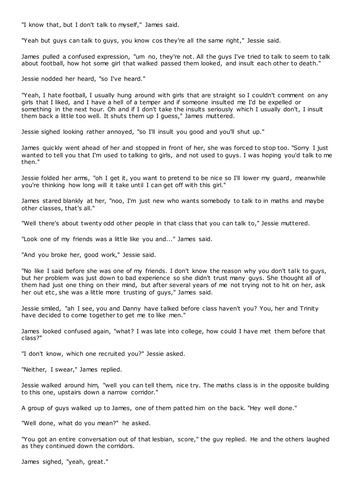"I know that, but I don't talk to myself," James said.

"Yeah but guys can talk to guys, you know cos they're all the same right," Jessie said.

James pulled a confused expression, "um no, they're not. All the guys I've tried to talk to seem to talk about football, how hot some girl that walked passed them looked, and insult each other to death."

Jessie nodded her heard, "so I've heard."

"Yeah, I hate football, I usually hung around with girls that are straight so I couldn't comment on any girls that I liked, and I have a hell of a temper and if someone insulted me I'd be expelled or something in the next hour. Oh and if I don't take the insults seriously which I usually don't, I insult them back a little too well. It shuts them up I guess," James muttered.

Jessie sighed looking rather annoyed, "so I'll insult you good and you'll shut up."

James quickly went ahead of her and stopped in front of her, she was forced to stop too. "Sorry I just wanted to tell you that I'm used to talking to girls, and not used to guys. I was hoping you'd talk to me then."

Jessie folded her arms, "oh I get it, you want to pretend to be nice so I'll lower my guard, meanwhile you're thinking how long will it take until I can get off with this girl."

James stared blankly at her, "noo, I'm just new who wants somebody to talk to in maths and maybe other classes, that's all."

"Well there's about twenty odd other people in that class that you can talk to," Jessie muttered.

"Look one of my friends was a little like you and..." James said.

"And you broke her, good work," Jessie said.

"No like I said before she was one of my friends. I don't know the reason why you don't talk to guys, but her problem was just down to bad experience so she didn't trust many guys. She thought all of them had just one thing on their mind, but after several years of me not trying not to hit on her, ask her out etc, she was a little more trusting of guys," James said.

Jessie smiled, "ah I see, you and Danny have talked before class haven't you? You, her and Trinity have decided to come together to get me to like men."

James looked confused again, "what? I was late into college, how could I have met them before that class?"

"I don't know, which one recruited you?" Jessie asked.

"Neither, I swear," James replied.

Jessie walked around him, "well you can tell them, nice try. The maths class is in the opposite building to this one, upstairs down a narrow corridor."

A group of guys walked up to James, one of them patted him on the back. "Hey well done."

"Well done, what do you mean?" he asked.

"You got an entire conversation out of that lesbian, score," the guy replied. He and the others laughed as they continued down the corridors.

James sighed, "yeah, great."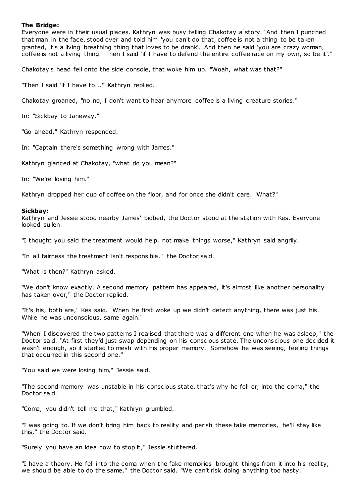# **The Bridge:**

Everyone were in their usual places. Kathryn was busy telling Chakotay a story. "And then I punched that man in the face, stood over and told him 'you can't do that, coffee is not a thing to be taken granted, it's a living breathing thing that loves to be drank'. And then he said 'you are crazy woman, coffee is not a living thing.' Then I said 'if I have to defend the entire coffee race on my own, so be it'."

Chakotay's head fell onto the side console, that woke him up. "Woah, what was that?"

"Then I said 'if I have to...'" Kathryn replied.

Chakotay groaned, "no no, I don't want to hear anymore coffee is a living creature stories."

In: "Sickbay to Janeway."

"Go ahead," Kathryn responded.

In: "Captain there's something wrong with James."

Kathryn glanced at Chakotay, "what do you mean?"

In: "We're losing him."

Kathryn dropped her cup of coffee on the floor, and for once she didn't care. "What?"

# **Sickbay:**

Kathryn and Jessie stood nearby James' biobed, the Doctor stood at the station with Kes. Everyone looked sullen.

"I thought you said the treatment would help, not make things worse," Kathryn said angrily.

"In all fairness the treatment isn't responsible," the Doctor said.

"What is then?" Kathryn asked.

"We don't know exactly. A second memory pattern has appeared, it's almost like another personality has taken over," the Doctor replied.

"It's his, both are," Kes said. "When he first woke up we didn't detect anything, there was just his. While he was unconscious, same again."

"When I discovered the two patterns I realised that there was a different one when he was asleep," the Doctor said. "At first they'd just swap depending on his conscious state. The unconscious one decided it wasn't enough, so it started to mesh with his proper memory. Somehow he was seeing, feeling things that occurred in this second one."

"You said we were losing him," Jessie said.

"The second memory was unstable in his conscious state, that's why he fell er, into the coma," the Doctor said.

"Coma, you didn't tell me that," Kathryn grumbled.

"I was going to. If we don't bring him back to reality and perish these fake memories, he'll stay like this," the Doctor said.

"Surely you have an idea how to stop it," Jessie stuttered.

"I have a theory. He fell into the coma when the fake memories brought things from it into his reality, we should be able to do the same," the Doctor said. "We can't risk doing anything too hasty."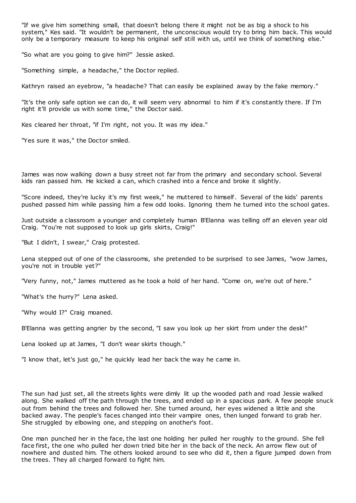"If we give him something small, that doesn't belong there it might not be as big a shock to his system," Kes said. "It wouldn't be permanent, the unconscious would try to bring him back. This would only be a temporary measure to keep his original self still with us, until we think of something else."

"So what are you going to give him?" Jessie asked.

"Something simple, a headache," the Doctor replied.

Kathryn raised an eyebrow, "a headache? That can easily be explained away by the fake memory."

"It's the only safe option we can do, it will seem very abnormal to him if it's constantly there. If I'm right it'll provide us with some time," the Doctor said.

Kes cleared her throat, "if I'm right, not you. It was my idea."

"Yes sure it was," the Doctor smiled.

James was now walking down a busy street not far from the primary and secondary school. Several kids ran passed him. He kicked a can, which crashed into a fence and broke it slightly.

"Score indeed, they're lucky it's my first week," he muttered to himself. Several of the kids' parents pushed passed him while passing him a few odd looks. Ignoring them he turned into the school gates.

Just outside a classroom a younger and completely human B'Elanna was telling off an eleven year old Craig. "You're not supposed to look up girls skirts, Craig!"

"But I didn't, I swear," Craig protested.

Lena stepped out of one of the classrooms, she pretended to be surprised to see James, "wow James, you're not in trouble yet?"

"Very funny, not," James muttered as he took a hold of her hand. "Come on, we're out of here."

"What's the hurry?" Lena asked.

"Why would I?" Craig moaned.

B'Elanna was getting angrier by the second, "I saw you look up her skirt from under the desk!"

Lena looked up at James, "I don't wear skirts though."

"I know that, let's just go," he quickly lead her back the way he came in.

The sun had just set, all the streets lights were dimly lit up the wooded path and road Jessie walked along. She walked off the path through the trees, and ended up in a spacious park. A few people snuck out from behind the trees and followed her. She turned around, her eyes widened a little and she backed away. The people's faces changed into their vampire ones, then lunged forward to grab her. She struggled by elbowing one, and stepping on another's foot.

One man punched her in the face, the last one holding her pulled her roughly to the ground. She fell face first, the one who pulled her down tried bite her in the back of the neck. An arrow flew out of nowhere and dusted him. The others looked around to see who did it, then a figure jumped down from the trees. They all charged forward to fight him.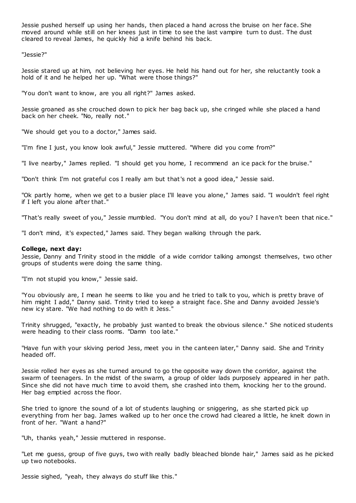Jessie pushed herself up using her hands, then placed a hand across the bruise on her face. She moved around while still on her knees just in time to see the last vampire turn to dust. The dust cleared to reveal James, he quickly hid a knife behind his back.

"Jessie?"

Jessie stared up at him, not believing her eyes. He held his hand out for her, she reluctantly took a hold of it and he helped her up. "What were those things?"

"You don't want to know, are you all right?" James asked.

Jessie groaned as she crouched down to pick her bag back up, she cringed while she placed a hand back on her cheek. "No, really not."

"We should get you to a doctor," James said.

"I'm fine I just, you know look awful," Jessie muttered. "Where did you come from?"

"I live nearby," James replied. "I should get you home, I recommend an ice pack for the bruise."

"Don't think I'm not grateful cos I really am but that's not a good idea," Jessie said.

"Ok partly home, when we get to a busier place I'll leave you alone," James said. "I wouldn't feel right if I left you alone after that."

"That's really sweet of you," Jessie mumbled. "You don't mind at all, do you? I haven't been that nice."

"I don't mind, it's expected," James said. They began walking through the park.

## **College, next day:**

Jessie, Danny and Trinity stood in the middle of a wide corridor talking amongst themselves, two other groups of students were doing the same thing.

"I'm not stupid you know," Jessie said.

"You obviously are, I mean he seems to like you and he tried to talk to you, which is pretty brave of him might I add," Danny said. Trinity tried to keep a straight face. She and Danny avoided Jessie's new icy stare. "We had nothing to do with it Jess."

Trinity shrugged, "exactly, he probably just wanted to break the obvious silence." She noticed students were heading to their class rooms. "Damn too late."

"Have fun with your skiving period Jess, meet you in the canteen later," Danny said. She and Trinity headed off.

Jessie rolled her eyes as she turned around to go the opposite way down the corridor, against the swarm of teenagers. In the midst of the swarm, a group of older lads purposely appeared in her path. Since she did not have much time to avoid them, she crashed into them, knocking her to the ground. Her bag emptied across the floor.

She tried to ignore the sound of a lot of students laughing or sniggering, as she started pick up everything from her bag. James walked up to her once the crowd had cleared a little, he knelt down in front of her. "Want a hand?"

"Uh, thanks yeah," Jessie muttered in response.

"Let me guess, group of five guys, two with really badly bleached blonde hair," James said as he picked up two notebooks.

Jessie sighed, "yeah, they always do stuff like this."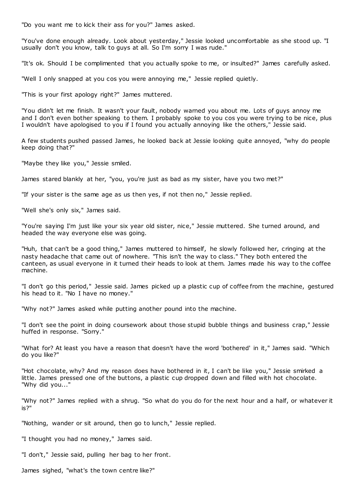"Do you want me to kick their ass for you?" James asked.

"You've done enough already. Look about yesterday," Jessie looked uncomfortable as she stood up. "I usually don't you know, talk to guys at all. So I'm sorry I was rude."

"It's ok. Should I be complimented that you actually spoke to me, or insulted?" James carefully asked.

"Well I only snapped at you cos you were annoying me," Jessie replied quietly.

"This is your first apology right?" James muttered.

"You didn't let me finish. It wasn't your fault, nobody warned you about me. Lots of guys annoy me and I don't even bother speaking to them. I probably spoke to you cos you were trying to be nice, plus I wouldn't have apologised to you if I found you actually annoying like the others," Jessie said.

A few students pushed passed James, he looked back at Jessie looking quite annoyed, "why do people keep doing that?"

"Maybe they like you," Jessie smiled.

James stared blankly at her, "you, you're just as bad as my sister, have you two met?"

"If your sister is the same age as us then yes, if not then no," Jessie replied.

"Well she's only six," James said.

"You're saying I'm just like your six year old sister, nice," Jessie muttered. She turned around, and headed the way everyone else was going.

"Huh, that can't be a good thing," James muttered to himself, he slowly followed her, cringing at the nasty headache that came out of nowhere. "This isn't the way to class." They both entered the canteen, as usual everyone in it turned their heads to look at them. James made his way to the coffee machine.

"I don't go this period," Jessie said. James picked up a plastic cup of coffee from the machine, gestured his head to it. "No I have no money."

"Why not?" James asked while putting another pound into the machine.

"I don't see the point in doing coursework about those stupid bubble things and business crap," Jessie huffed in response. "Sorry."

"What for? At least you have a reason that doesn't have the word 'bothered' in it," James said. "Which do you like?"

"Hot chocolate, why? And my reason does have bothered in it, I can't be like you," Jessie smirked a little. James pressed one of the buttons, a plastic cup dropped down and filled with hot chocolate. "Why did you..."

"Why not?" James replied with a shrug. "So what do you do for the next hour and a half, or whatever it is?"

"Nothing, wander or sit around, then go to lunch," Jessie replied.

"I thought you had no money," James said.

"I don't," Jessie said, pulling her bag to her front.

James sighed, "what's the town centre like?"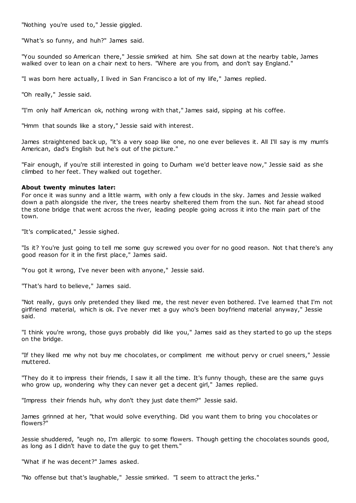"Nothing you're used to," Jessie giggled.

"What's so funny, and huh?" James said.

"You sounded so American there," Jessie smirked at him. She sat down at the nearby table, James walked over to lean on a chair next to hers. "Where are you from, and don't say England."

"I was born here actually, I lived in San Francisco a lot of my life," James replied.

"Oh really," Jessie said.

"I'm only half American ok, nothing wrong with that," James said, sipping at his coffee.

"Hmm that sounds like a story," Jessie said with interest.

James straightened back up, "it's a very soap like one, no one ever believes it. All I'll say is my mum's American, dad's English but he's out of the picture."

"Fair enough, if you're still interested in going to Durham we'd better leave now," Jessie said as she climbed to her feet. They walked out together.

## **About twenty minutes later:**

For once it was sunny and a little warm, with only a few clouds in the sky. James and Jessie walked down a path alongside the river, the trees nearby sheltered them from the sun. Not far ahead stood the stone bridge that went across the river, leading people going across it into the main part of the town.

"It's complicated," Jessie sighed.

"Is it? You're just going to tell me some guy screwed you over for no good reason. Not t hat there's any good reason for it in the first place," James said.

"You got it wrong, I've never been with anyone," Jessie said.

"That's hard to believe," James said.

"Not really, guys only pretended they liked me, the rest never even bothered. I've learned that I'm not girlfriend material, which is ok. I've never met a guy who's been boyfriend material anyway," Jessie said.

"I think you're wrong, those guys probably did like you," James said as they started to go up the steps on the bridge.

"If they liked me why not buy me chocolates, or compliment me without pervy or cruel sneers," Jessie muttered.

"They do it to impress their friends, I saw it all the time. It's funny though, these are the same guys who grow up, wondering why they can never get a decent girl," James replied.

"Impress their friends huh, why don't they just date them?" Jessie said.

James grinned at her, "that would solve everything. Did you want them to bring you chocolates or flowers?"

Jessie shuddered, "eugh no, I'm allergic to some flowers. Though getting the chocolates sounds good, as long as I didn't have to date the guy to get them."

"What if he was decent?" James asked.

"No offense but that's laughable," Jessie smirked. "I seem to attract the jerks."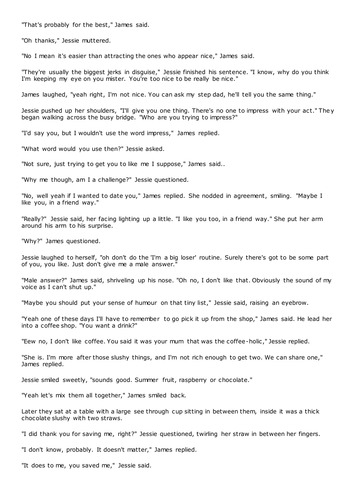"That's probably for the best," James said.

"Oh thanks," Jessie muttered.

"No I mean it's easier than attracting the ones who appear nice," James said.

"They're usually the biggest jerks in disguise," Jessie finished his sentence. "I know, why do you think I'm keeping my eye on you mister. You're too nice to be really be nice."

James laughed, "yeah right, I'm not nice. You can ask my step dad, he'll tell you the same thing."

Jessie pushed up her shoulders, "I'll give you one thing. There's no one to impress with your act." The y began walking across the busy bridge. "Who are you trying to impress?"

"I'd say you, but I wouldn't use the word impress," James replied.

"What word would you use then?" Jessie asked.

"Not sure, just trying to get you to like me I suppose," James said..

"Why me though, am I a challenge?" Jessie questioned.

"No, well yeah if I wanted to date you," James replied. She nodded in agreement, smiling. "Maybe I like you, in a friend way."

"Really?" Jessie said, her facing lighting up a little. "I like you too, in a friend way." She put her arm around his arm to his surprise.

"Why?" James questioned.

Jessie laughed to herself, "oh don't do the 'I'm a big loser' routine. Surely there's got to be some part of you, you like. Just don't give me a male answer."

"Male answer?" James said, shriveling up his nose. "Oh no, I don't like that. Obviously the sound of my voice as I can't shut up."

"Maybe you should put your sense of humour on that tiny list," Jessie said, raising an eyebrow.

"Yeah one of these days I'll have to remember to go pick it up from the shop," James said. He lead her into a coffee shop. "You want a drink?"

"Eew no, I don't like coffee. You said it was your mum that was the coffee-holic ," Jessie replied.

"She is. I'm more after those slushy things, and I'm not rich enough to get two. We can share one," James replied.

Jessie smiled sweetly, "sounds good. Summer fruit, raspberry or chocolate."

"Yeah let's mix them all together," James smiled back.

Later they sat at a table with a large see through cup sitting in between them, inside it was a thick chocolate slushy with two straws.

"I did thank you for saving me, right?" Jessie questioned, twirling her straw in between her fingers.

"I don't know, probably. It doesn't matter," James replied.

"It does to me, you saved me," Jessie said.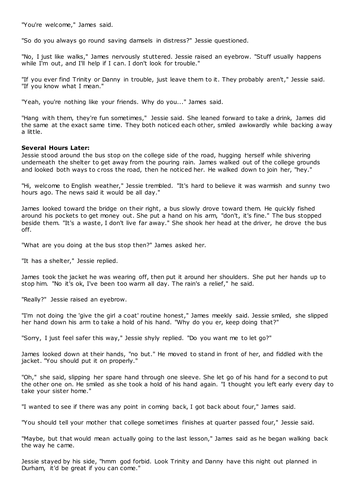"You're welcome," James said.

"So do you always go round saving damsels in distress?" Jessie questioned.

"No, I just like walks," James nervously stuttered. Jessie raised an eyebrow. "Stuff usually happens while I'm out, and I'll help if I can. I don't look for trouble."

"If you ever find Trinity or Danny in trouble, just leave them to it. They probably aren't," Jessie said. "If you know what I mean."

"Yeah, you're nothing like your friends. Why do you..." James said.

"Hang with them, they're fun sometimes," Jessie said. She leaned forward to take a drink, James did the same at the exact same time. They both noticed each other, smiled awkwardly while backing a way a little.

## **Several Hours Later:**

Jessie stood around the bus stop on the college side of the road, hugging herself while shivering underneath the shelter to get away from the pouring rain. James walked out of the college grounds and looked both ways to cross the road, then he noticed her. He walked down to join her, "hey."

"Hi, welcome to English weather," Jessie trembled. "It's hard to believe it was warmish and sunny two hours ago. The news said it would be all day."

James looked toward the bridge on their right, a bus slowly drove toward them. He quickly fished around his pockets to get money out. She put a hand on his arm, "don't, it's fine." The bus stopped beside them. "It's a waste, I don't live far away." She shook her head at the driver, he drove the bus off.

"What are you doing at the bus stop then?" James asked her.

"It has a shelter," Jessie replied.

James took the jacket he was wearing off, then put it around her shoulders. She put her hands up to stop him. "No it's ok, I've been too warm all day. The rain's a relief," he said.

"Really?" Jessie raised an eyebrow.

"I'm not doing the 'give the girl a coat' routine honest," James meekly said. Jessie smiled, she slipped her hand down his arm to take a hold of his hand. "Why do you er, keep doing that?"

"Sorry, I just feel safer this way," Jessie shyly replied. "Do you want me to let go?"

James looked down at their hands, "no but." He moved to stand in front of her, and fiddled with the jacket. "You should put it on properly."

"Oh," she said, slipping her spare hand through one sleeve. She let go of his hand for a second to put the other one on. He smiled as she took a hold of his hand again. "I thought you left early every day to take your sister home."

"I wanted to see if there was any point in coming back, I got back about four," James said.

"You should tell your mother that college sometimes finishes at quarter passed four," Jessie said.

"Maybe, but that would mean actually going to the last lesson," James said as he began walking back the way he came.

Jessie stayed by his side, "hmm god forbid. Look Trinity and Danny have this night out planned in Durham, it'd be great if you can come."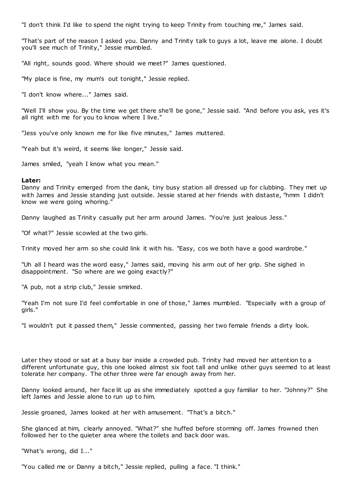"I don't think I'd like to spend the night trying to keep Trinity from touching me," James said.

"That's part of the reason I asked you. Danny and Trinity talk to guys a lot, leave me alone. I doubt you'll see much of Trinity," Jessie mumbled.

"All right, sounds good. Where should we meet?" James questioned.

"My place is fine, my mum's out tonight," Jessie replied.

"I don't know where..." James said.

"Well I'll show you. By the time we get there she'll be gone," Jessie said. "And before you ask, yes it's all right with me for you to know where I live."

"Jess you've only known me for like five minutes," James muttered.

"Yeah but it's weird, it seems like longer," Jessie said.

James smiled, "yeah I know what you mean."

# **Later:**

Danny and Trinity emerged from the dank, tiny busy station all dressed up for clubbing. They met up with James and Jessie standing just outside. Jessie stared at her friends with distaste, "hmm I didn't know we were going whoring."

Danny laughed as Trinity casually put her arm around James. "You're just jealous Jess."

"Of what?" Jessie scowled at the two girls.

Trinity moved her arm so she could link it with his. "Easy, cos we both have a good wardrobe."

"Uh all I heard was the word easy," James said, moving his arm out of her grip. She sighed in disappointment. "So where are we going exactly?"

"A pub, not a strip club," Jessie smirked.

"Yeah I'm not sure I'd feel comfortable in one of those," James mumbled. "Especially with a group of girls."

"I wouldn't put it passed them," Jessie commented, passing her two female friends a dirty look.

Later they stood or sat at a busy bar inside a crowded pub. Trinity had moved her attention to a different unfortunate guy, this one looked almost six foot tall and unlike other guys seemed to at least tolerate her company. The other three were far enough away from her.

Danny looked around, her face lit up as she immediately spotted a guy familiar to her. "Johnny?" She left James and Jessie alone to run up to him.

Jessie groaned, James looked at her with amusement. "That's a bitch."

She glanced at him, clearly annoyed. "What?" she huffed before storming off. James frowned then followed her to the quieter area where the toilets and back door was.

"What's wrong, did I..."

"You called me or Danny a bitch," Jessie replied, pulling a face. "I think."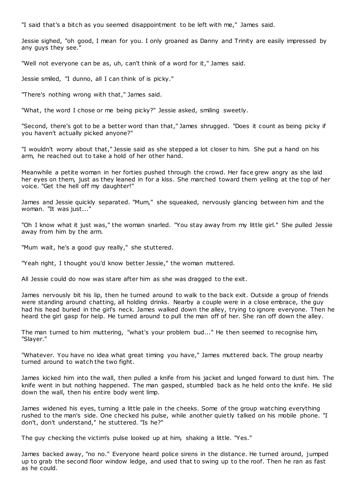"I said that's a bitch as you seemed disappointment to be left with me," James said.

Jessie sighed, "oh good, I mean for you. I only groaned as Danny and Trinity are easily impressed by any guys they see."

"Well not everyone can be as, uh, can't think of a word for it," James said.

Jessie smiled, "I dunno, all I can think of is picky."

"There's nothing wrong with that," James said.

"What, the word I chose or me being picky?" Jessie asked, smiling sweetly.

"Second, there's got to be a better word than that," James shrugged. "Does it count as being picky if you haven't actually picked anyone?"

"I wouldn't worry about that," Jessie said as she stepped a lot closer to him. She put a hand on his arm, he reached out to take a hold of her other hand.

Meanwhile a petite woman in her forties pushed through the crowd. Her face grew angry as she laid her eyes on them, just as they leaned in for a kiss. She marched toward them yelling at the top of her voice. "Get the hell off my daughter!"

James and Jessie quickly separated. "Mum," she squeaked, nervously glancing between him and the woman. "It was just..."

"Oh I know what it just was," the woman snarled. "You stay away from my little girl." She pulled Jessie away from him by the arm.

"Mum wait, he's a good guy really," she stuttered.

"Yeah right, I thought you'd know better Jessie," the woman muttered.

All Jessie could do now was stare after him as she was dragged to the exit.

James nervously bit his lip, then he turned around to walk to the back exit. Outside a group of friends were standing around chatting, all holding drinks. Nearby a couple were in a close embrace, the guy had his head buried in the girl's neck. James walked down the alley, trying to ignore everyone. Then he heard the girl gasp for help. He turned around to pull the man off of her. She ran off down the alley.

The man turned to him muttering, "what's your problem bud..." He then seemed to recognise him, "Slayer."

"Whatever. You have no idea what great timing you have," James muttered back. The group nearby turned around to watch the two fight.

James kicked him into the wall, then pulled a knife from his jacket and lunged forward to dust him. The knife went in but nothing happened. The man gasped, stumbled back as he held onto the knife. He slid down the wall, then his entire body went limp.

James widened his eyes, turning a little pale in the cheeks. Some of the group watching everything rushed to the man's side. One checked his pulse, while another quietly talked on his mobile phone. "I don't, don't understand," he stuttered. "Is he?"

The guy checking the victim's pulse looked up at him, shaking a little. "Yes."

James backed away, "no no." Everyone heard police sirens in the distance. He turned around, jumped up to grab the second floor window ledge, and used that to swing up to the roof. Then he ran as fast as he could.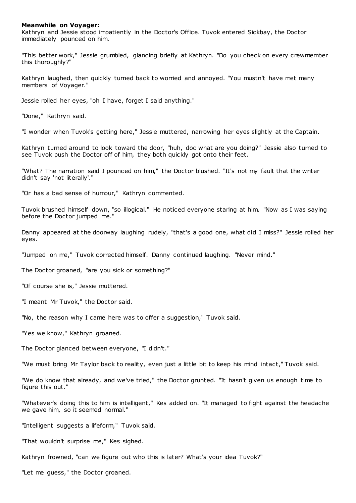## **Meanwhile on Voyager:**

Kathryn and Jessie stood impatiently in the Doctor's Office. Tuvok entered Sickbay, the Doctor immediately pounced on him.

"This better work," Jessie grumbled, glancing briefly at Kathryn. "Do you check on every crewmember this thoroughly?"

Kathryn laughed, then quickly turned back to worried and annoyed. "You mustn't have met many members of Voyager."

Jessie rolled her eyes, "oh I have, forget I said anything."

"Done," Kathryn said.

"I wonder when Tuvok's getting here," Jessie muttered, narrowing her eyes slightly at the Captain.

Kathryn turned around to look toward the door, "huh, doc what are you doing?" Jessie also turned to see Tuvok push the Doctor off of him, they both quickly got onto their feet.

"What? The narration said I pounced on him," the Doctor blushed. "It's not my fault that the writer didn't say 'not literally'."

"Or has a bad sense of humour," Kathryn commented.

Tuvok brushed himself down, "so illogical." He noticed everyone staring at him. "Now as I was saying before the Doctor jumped me."

Danny appeared at the doorway laughing rudely, "that's a good one, what did I miss?" Jessie rolled her eyes.

"Jumped on me," Tuvok corrected himself. Danny continued laughing. "Never mind."

The Doctor groaned, "are you sick or something?"

"Of course she is," Jessie muttered.

"I meant Mr Tuvok," the Doctor said.

"No, the reason why I came here was to offer a suggestion," Tuvok said.

"Yes we know," Kathryn groaned.

The Doctor glanced between everyone, "I didn't."

"We must bring Mr Taylor back to reality, even just a little bit to keep his mind intact," Tuvok said.

"We do know that already, and we've tried," the Doctor grunted. "It hasn't given us enough time to figure this out."

"Whatever's doing this to him is intelligent," Kes added on. "It managed to fight against the headache we gave him, so it seemed normal."

"Intelligent suggests a lifeform," Tuvok said.

"That wouldn't surprise me," Kes sighed.

Kathryn frowned, "can we figure out who this is later? What's your idea Tuvok?"

"Let me guess," the Doctor groaned.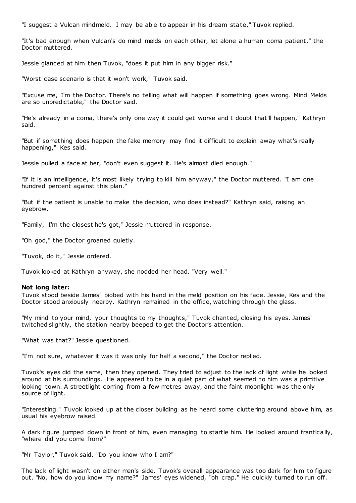"I suggest a Vulcan mindmeld. I may be able to appear in his dream state," Tuvok replied.

"It's bad enough when Vulcan's do mind melds on each other, let alone a human coma patient," the Doctor muttered.

Jessie glanced at him then Tuvok, "does it put him in any bigger risk."

"Worst case scenario is that it won't work," Tuvok said.

"Excuse me, I'm the Doctor. There's no telling what will happen if something goes wrong. Mind Melds are so unpredictable," the Doctor said.

"He's already in a coma, there's only one way it could get worse and I doubt that'll happen," Kathryn said.

"But if something does happen the fake memory may find it difficult to explain away what's really happening," Kes said.

Jessie pulled a face at her, "don't even suggest it. He's almost died enough."

"If it is an intelligence, it's most likely trying to kill him anyway," the Doctor muttered. "I am one hundred percent against this plan."

"But if the patient is unable to make the decision, who does instead?" Kathryn said, raising an eyebrow.

"Family, I'm the closest he's got," Jessie muttered in response.

"Oh god," the Doctor groaned quietly.

"Tuvok, do it," Jessie ordered.

Tuvok looked at Kathryn anyway, she nodded her head. "Very well."

### **Not long later:**

Tuvok stood beside James' biobed with his hand in the meld position on his face. Jessie, Kes and the Doctor stood anxiously nearby. Kathryn remained in the office, watching through the glass.

"My mind to your mind, your thoughts to my thoughts," Tuvok chanted, closing his eyes. James' twitched slightly, the station nearby beeped to get the Doctor's attention.

"What was that?" Jessie questioned.

"I'm not sure, whatever it was it was only for half a second," the Doctor replied.

Tuvok's eyes did the same, then they opened. They tried to adjust to the lack of light while he looked around at his surroundings. He appeared to be in a quiet part of what seemed to him was a primitive looking town. A streetlight coming from a few metres away, and the faint moonlight was the only source of light.

"Interesting." Tuvok looked up at the closer building as he heard some cluttering around above him, as usual his eyebrow raised.

A dark figure jumped down in front of him, even managing to startle him. He looked around frantically, "where did you come from?"

"Mr Taylor," Tuvok said. "Do you know who I am?"

The lack of light wasn't on either men's side. Tuvok's overall appearance was too dark for him to figure out. "No, how do you know my name?" James' eyes widened, "oh crap." He quickly turned to run off.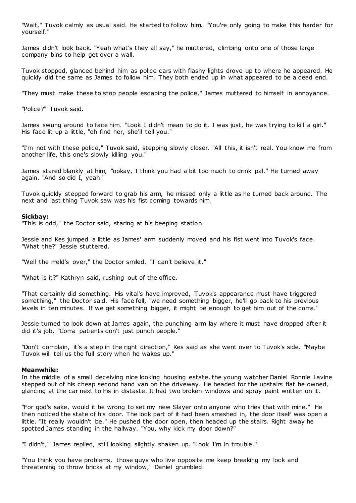"Wait," Tuvok calmly as usual said. He started to follow him. "You're only going to make this harder for yourself."

James didn't look back. "Yeah what's they all say," he muttered, climbing onto one of those large company bins to help get over a wall.

Tuvok stopped, glanced behind him as police cars with flashy lights drove up to where he appeared. He quickly did the same as James to follow him. They both ended up in what appeared to be a dead end.

"They must make these to stop people escaping the police," James muttered to himself in annoyance.

"Police?" Tuvok said.

James swung around to face him. "Look I didn't mean to do it. I was just, he was trying to kill a girl." His face lit up a little, "oh find her, she'll tell you."

"I'm not with these police," Tuvok said, stepping slowly closer. "All this, it isn't real. You know me from another life, this one's slowly killing you."

James stared blankly at him, "ookay, I think you had a bit too much to drink pal." He turned away again. "And so did I, yeah."

Tuvok quickly stepped forward to grab his arm, he missed only a little as he turned back around. The next and last thing Tuvok saw was his fist coming towards him.

### **Sickbay:**

"This is odd," the Doctor said, staring at his beeping station.

Jessie and Kes jumped a little as James' arm suddenly moved and his fist went into Tuvok's face. "What the?" Jessie stuttered.

"Well the meld's over," the Doctor smiled. "I can't believe it."

"What is it?" Kathryn said, rushing out of the office.

"That certainly did something. His vital's have improved, Tuvok's appearance must have triggered something," the Doctor said. His face fell, "we need something bigger, he'll go back to his previous levels in ten minutes. If we get something bigger, it might be enough to get him out of the coma."

Jessie turned to look down at James again, the punching arm lay where it must have dropped after it did it's job. "Coma patients don't just punch people."

"Don't complain, it's a step in the right direction," Kes said as she went over to Tuvok's side. "Maybe Tuvok will tell us the full story when he wakes up."

### **Meanwhile:**

In the middle of a small deceiving nice looking housing estate, the young watcher Daniel Ronnie Lavine stepped out of his cheap second hand van on the driveway. He headed for the upstairs flat he owned, glancing at the car next to his in distaste. It had two broken windows and spray paint written on it.

"For god's sake, would it be wrong to set my new Slayer onto anyone who tries that with mine." He then noticed the state of his door. The lock part of it had been smashed in, the door itself was open a little. "It really wouldn't be." He pushed the door open, then headed up the stairs. Right away he spotted James standing in the hallway. "You, why kick my door down?"

"I didn't," James replied, still looking slightly shaken up. "Look I'm in trouble."

"You think you have problems, those guys who live opposite me keep breaking my lock and threatening to throw bricks at my window," Daniel grumbled.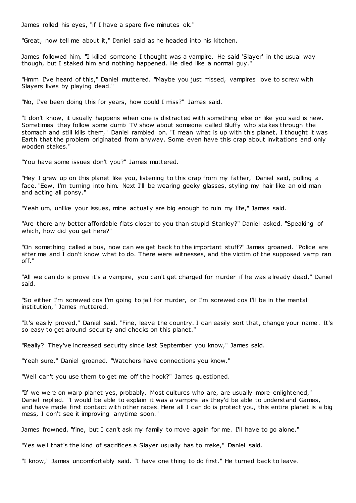James rolled his eyes, "if I have a spare five minutes ok."

"Great, now tell me about it," Daniel said as he headed into his kitchen.

James followed him, "I killed someone I thought was a vampire. He said 'Slayer' in the usual way though, but I staked him and nothing happened. He died like a normal guy."

"Hmm I've heard of this," Daniel muttered. "Maybe you just missed, vampires love to screw with Slayers lives by playing dead."

"No, I've been doing this for years, how could I miss?" James said.

"I don't know, it usually happens when one is distracted with something else or like you said is new. Sometimes they follow some dumb TV show about someone called Bluffy who stakes through the stomach and still kills them," Daniel rambled on. "I mean what is up with this planet, I thought it was Earth that the problem originated from anyway. Some even have this crap about invitations and only wooden stakes."

"You have some issues don't you?" James muttered.

"Hey I grew up on this planet like you, listening to this crap from my father," Daniel said, pulling a face. "Eew, I'm turning into him. Next I'll be wearing geeky glasses, styling my hair like an old man and acting all ponsy."

"Yeah um, unlike your issues, mine actually are big enough to ruin my life," James said.

"Are there any better affordable flats closer to you than stupid Stanley?" Daniel asked. "Speaking of which, how did you get here?"

"On something called a bus, now can we get back to the important stuff?" James groaned. "Police are after me and I don't know what to do. There were witnesses, and the victim of the supposed vamp ran off."

"All we can do is prove it's a vampire, you can't get charged for murder if he was already dead," Daniel said.

"So either I'm screwed cos I'm going to jail for murder, or I'm screwed cos I'll be in the mental institution," James muttered.

"It's easily proved," Daniel said. "Fine, leave the country. I can easily sort that, change your name. It's so easy to get around security and checks on this planet."

"Really? They've increased security since last September you know," James said.

"Yeah sure," Daniel groaned. "Watchers have connections you know."

"Well can't you use them to get me off the hook?" James questioned.

"If we were on warp planet yes, probably. Most cultures who are, are usually more enlightened," Daniel replied. "I would be able to explain it was a vampire as they'd be able to understand Games, and have made first contact with other races. Here all I can do is protect you, this entire planet is a big mess, I don't see it improving anytime soon."

James frowned, "fine, but I can't ask my family to move again for me. I'll have to go alone."

"Yes well that's the kind of sacrifices a Slayer usually has to make," Daniel said.

"I know," James uncomfortably said. "I have one thing to do first." He turned back to leave.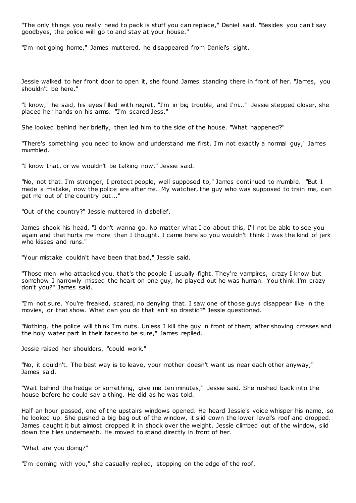"The only things you really need to pack is stuff you can replace," Daniel said. "Besides you can't say goodbyes, the police will go to and stay at your house."

"I'm not going home," James muttered, he disappeared from Daniel's sight.

Jessie walked to her front door to open it, she found James standing there in front of her. "James, you shouldn't be here."

"I know," he said, his eyes filled with regret. "I'm in big trouble, and I'm..." Jessie stepped closer, she placed her hands on his arms. "I'm scared Jess."

She looked behind her briefly, then led him to the side of the house. "What happened?"

"There's something you need to know and understand me first. I'm not exactly a normal guy," James mumbled.

"I know that, or we wouldn't be talking now," Jessie said.

"No, not that. I'm stronger, I protect people, well supposed to," James continued to mumble. "But I made a mistake, now the police are after me. My watcher, the guy who was supposed to train me, can get me out of the country but..."

"Out of the country?" Jessie muttered in disbelief.

James shook his head, "I don't wanna go. No matter what I do about this, I'll not be able to see you again and that hurts me more than I thought. I came here so you wouldn't think I was the kind of jerk who kisses and runs."

"Your mistake couldn't have been that bad," Jessie said.

"Those men who attacked you, that's the people I usually fight. They're vampires, crazy I know but somehow I narrowly missed the heart on one guy, he played out he was human. You think I'm crazy don't you?" James said.

"I'm not sure. You're freaked, scared, no denying that. I saw one of those guys disappear like in the movies, or that show. What can you do that isn't so drastic?" Jessie questioned.

"Nothing, the police will think I'm nuts. Unless I kill the guy in front of them, after shoving crosses and the holy water part in their faces to be sure," James replied.

Jessie raised her shoulders, "could work."

"No, it couldn't. The best way is to leave, your mother doesn't want us near each other anyway," James said.

"Wait behind the hedge or something, give me ten minutes," Jessie said. She rushed back into the house before he could say a thing. He did as he was told.

Half an hour passed, one of the upstairs windows opened. He heard Jessie's voice whisper his name, so he looked up. She pushed a big bag out of the window, it slid down the lower level's roof and dropped. James caught it but almost dropped it in shock over the weight. Jessie climbed out of the window, slid down the tiles underneath. He moved to stand directly in front of her.

"What are you doing?"

"I'm coming with you," she casually replied, stopping on the edge of the roof.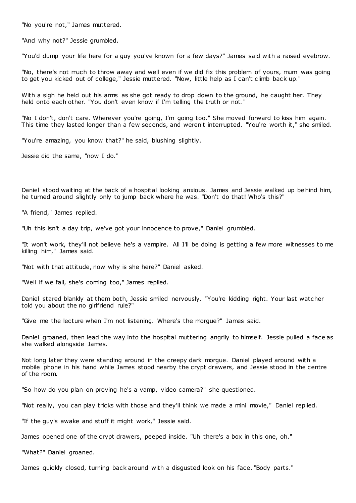"No you're not," James muttered.

"And why not?" Jessie grumbled.

"You'd dump your life here for a guy you've known for a few days?" James said with a raised eyebrow.

"No, there's not much to throw away and well even if we did fix this problem of yours, mum was going to get you kicked out of college," Jessie muttered. "Now, little help as I can't climb back up."

With a sigh he held out his arms as she got ready to drop down to the ground, he caught her. They held onto each other. "You don't even know if I'm telling the truth or not."

"No I don't, don't care. Wherever you're going, I'm going too." She moved forward to kiss him again. This time they lasted longer than a few seconds, and weren't interrupted. "You're worth it," she smiled.

"You're amazing, you know that?" he said, blushing slightly.

Jessie did the same, "now I do."

Daniel stood waiting at the back of a hospital looking anxious. James and Jessie walked up behind him, he turned around slightly only to jump back where he was. "Don't do that! Who's this?"

"A friend," James replied.

"Uh this isn't a day trip, we've got your innocence to prove," Daniel grumbled.

"It won't work, they'll not believe he's a vampire. All I'll be doing is getting a few more witnesses to me killing him," James said.

"Not with that attitude, now why is she here?" Daniel asked.

"Well if we fail, she's coming too," James replied.

Daniel stared blankly at them both, Jessie smiled nervously. "You're kidding right. Your last watcher told you about the no girlfriend rule?"

"Give me the lecture when I'm not listening. Where's the morgue?" James said.

Daniel groaned, then lead the way into the hospital muttering angrily to himself. Jessie pulled a face as she walked alongside James.

Not long later they were standing around in the creepy dark morgue. Daniel played around with a mobile phone in his hand while James stood nearby the crypt drawers, and Jessie stood in the centre of the room.

"So how do you plan on proving he's a vamp, video camera?" she questioned.

"Not really, you can play tricks with those and they'll think we made a mini movie," Daniel replied.

"If the guy's awake and stuff it might work," Jessie said.

James opened one of the crypt drawers, peeped inside. "Uh there's a box in this one, oh."

"What?" Daniel groaned.

James quickly closed, turning back around with a disgusted look on his face. "Body parts."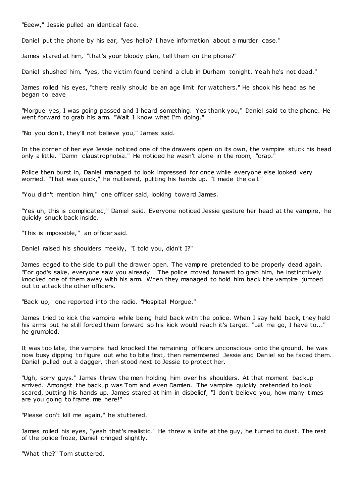"Eeew," Jessie pulled an identical face.

Daniel put the phone by his ear, "yes hello? I have information about a murder case."

James stared at him, "that's your bloody plan, tell them on the phone?"

Daniel shushed him, "yes, the victim found behind a club in Durham tonight. Yeah he's not dead."

James rolled his eyes, "there really should be an age limit for watchers." He shook his head as he began to leave

"Morgue yes, I was going passed and I heard something. Yes thank you," Daniel said to the phone. He went forward to grab his arm. "Wait I know what I'm doing."

"No you don't, they'll not believe you," James said.

In the corner of her eye Jessie noticed one of the drawers open on its own, the vampire stuck his head only a little. "Damn claustrophobia." He noticed he wasn't alone in the room, "crap."

Police then burst in, Daniel managed to look impressed for once while everyone else looked very worried. "That was quick," he muttered, putting his hands up. "I made the call."

"You didn't mention him," one officer said, looking toward James.

"Yes uh, this is complicated," Daniel said. Everyone noticed Jessie gesture her head at the vampire, he quickly snuck back inside.

"This is impossible," an officer said.

Daniel raised his shoulders meekly, "I told you, didn't I?"

James edged to the side to pull the drawer open. The vampire pretended to be properly dead again. "For god's sake, everyone saw you already." The police moved forward to grab him, he instinctively knocked one of them away with his arm. When they managed to hold him back t he vampire jumped out to attack the other officers.

"Back up," one reported into the radio. "Hospital Morgue."

James tried to kick the vampire while being held back with the police. When I say held back, they held his arms but he still forced them forward so his kick would reach it's target. "Let me go, I have to..." he grumbled.

It was too late, the vampire had knocked the remaining officers unconscious onto the ground, he was now busy dipping to figure out who to bite first, then remembered Jessie and Daniel so he faced them. Daniel pulled out a dagger, then stood next to Jessie to protect her.

"Ugh, sorry guys." James threw the men holding him over his shoulders. At that moment backup arrived. Amongst the backup was Tom and even Damien. The vampire quickly pretended to look scared, putting his hands up. James stared at him in disbelief, "I don't believe you, how many times are you going to frame me here!"

"Please don't kill me again," he stuttered.

James rolled his eyes, "yeah that's realistic ." He threw a knife at the guy, he turned to dust. The rest of the police froze, Daniel cringed slightly.

"What the?" Tom stuttered.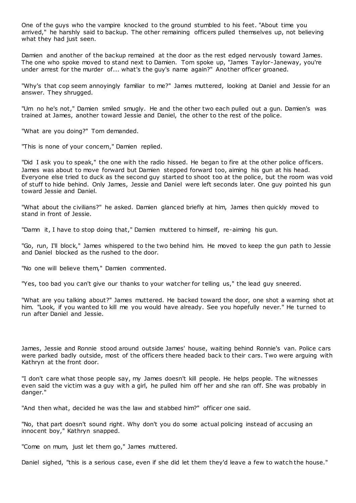One of the guys who the vampire knocked to the ground stumbled to his feet. "About time you arrived," he harshly said to backup. The other remaining officers pulled themselves up, not believing what they had just seen.

Damien and another of the backup remained at the door as the rest edged nervously toward James. The one who spoke moved to stand next to Damien. Tom spoke up, "James Taylor-Janeway, you're under arrest for the murder of... what's the guy's name again?" Another officer groaned.

"Why's that cop seem annoyingly familiar to me?" James muttered, looking at Daniel and Jessie for an answer. They shrugged.

"Um no he's not," Damien smiled smugly. He and the other two each pulled out a gun. Damien's was trained at James, another toward Jessie and Daniel, the other to the rest of the police.

"What are you doing?" Tom demanded.

"This is none of your concern," Damien replied.

"Did I ask you to speak," the one with the radio hissed. He began to fire at the other police officers. James was about to move forward but Damien stepped forward too, aiming his gun at his head. Everyone else tried to duck as the second guy started to shoot too at the police, but the room was void of stuff to hide behind. Only James, Jessie and Daniel were left seconds later. One guy pointed his gun toward Jessie and Daniel.

"What about the civilians?" he asked. Damien glanced briefly at him, James then quickly moved to stand in front of Jessie.

"Damn it, I have to stop doing that," Damien muttered to himself, re-aiming his gun.

"Go, run, I'll block," James whispered to the two behind him. He moved to keep the gun path to Jessie and Daniel blocked as the rushed to the door.

"No one will believe them," Damien commented.

"Yes, too bad you can't give our thanks to your watcher for telling us," the lead guy sneered.

"What are you talking about?" James muttered. He backed toward the door, one shot a warning shot at him. "Look, if you wanted to kill me you would have already. See you hopefully never." He turned to run after Daniel and Jessie.

James, Jessie and Ronnie stood around outside James' house, waiting behind Ronnie's van. Police cars were parked badly outside, most of the officers there headed back to their cars. Two were arguing with Kathryn at the front door.

"I don't care what those people say, my James doesn't kill people. He helps people. The witnesses even said the victim was a guy with a girl, he pulled him off her and she ran off. She was probably in danger."

"And then what, decided he was the law and stabbed him?" officer one said.

"No, that part doesn't sound right. Why don't you do some actual policing instead of accusing an innocent boy," Kathryn snapped.

"Come on mum, just let them go," James muttered.

Daniel sighed, "this is a serious case, even if she did let them they'd leave a few to watch the house."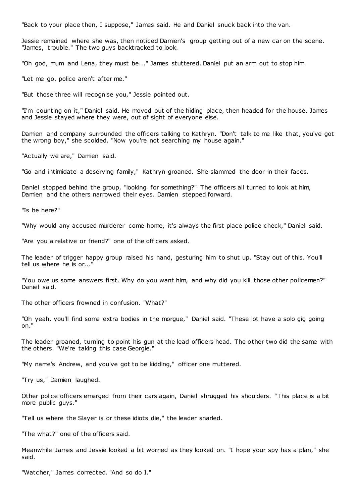"Back to your place then, I suppose," James said. He and Daniel snuck back into the van.

Jessie remained where she was, then noticed Damien's group getting out of a new car on the scene. "James, trouble." The two guys backtracked to look.

"Oh god, mum and Lena, they must be..." James stuttered. Daniel put an arm out to stop him.

"Let me go, police aren't after me."

"But those three will recognise you," Jessie pointed out.

"I'm counting on it," Daniel said. He moved out of the hiding place, then headed for the house. James and Jessie stayed where they were, out of sight of everyone else.

Damien and company surrounded the officers talking to Kathryn. "Don't talk to me like that, you've got the wrong boy," she scolded. "Now you're not searching my house again."

"Actually we are," Damien said.

"Go and intimidate a deserving family," Kathryn groaned. She slammed the door in their faces.

Daniel stopped behind the group, "looking for something?" The officers all turned to look at him, Damien and the others narrowed their eyes. Damien stepped forward.

"Is he here?"

"Why would any accused murderer come home, it's always the first place police check," Daniel said.

"Are you a relative or friend?" one of the officers asked.

The leader of trigger happy group raised his hand, gesturing him to shut up. "Stay out of this. You'll tell us where he is or...'

"You owe us some answers first. Why do you want him, and why did you kill those other policemen?" Daniel said.

The other officers frowned in confusion. "What?"

"Oh yeah, you'll find some extra bodies in the morgue," Daniel said. "These lot have a solo gig going on."

The leader groaned, turning to point his gun at the lead officers head. The other two did the same with the others. "We're taking this case Georgie."

"My name's Andrew, and you've got to be kidding," officer one muttered.

"Try us," Damien laughed.

Other police officers emerged from their cars again, Daniel shrugged his shoulders. "This place is a bit more public guys."

"Tell us where the Slayer is or these idiots die," the leader snarled.

"The what?" one of the officers said.

Meanwhile James and Jessie looked a bit worried as they looked on. "I hope your spy has a plan," she said.

"Watcher," James corrected. "And so do I."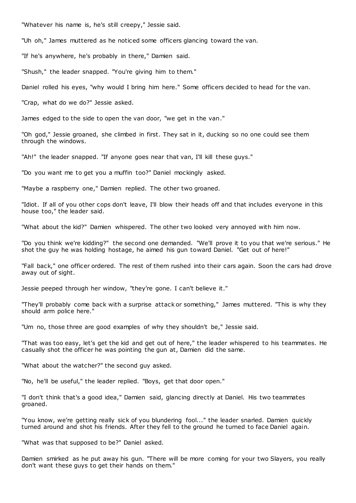"Whatever his name is, he's still creepy," Jessie said.

"Uh oh," James muttered as he noticed some officers glancing toward the van.

"If he's anywhere, he's probably in there," Damien said.

"Shush," the leader snapped. "You're giving him to them."

Daniel rolled his eyes, "why would I bring him here." Some officers decided to head for the van.

"Crap, what do we do?" Jessie asked.

James edged to the side to open the van door, "we get in the van."

"Oh god," Jessie groaned, she climbed in first. They sat in it, ducking so no one could see them through the windows.

"Ah!" the leader snapped. "If anyone goes near that van, I'll kill these guys."

"Do you want me to get you a muffin too?" Daniel mockingly asked.

"Maybe a raspberry one," Damien replied. The other two groaned.

"Idiot. If all of you other cops don't leave, I'll blow their heads off and that includes everyone in this house too," the leader said.

"What about the kid?" Damien whispered. The other two looked very annoyed with him now.

"Do you think we're kidding?" the second one demanded. "We'll prove it to you that we're serious." He shot the guy he was holding hostage, he aimed his gun toward Daniel. "Get out of here!"

"Fall back," one officer ordered. The rest of them rushed into their cars again. Soon the cars had drove away out of sight.

Jessie peeped through her window, "they're gone. I can't believe it."

"They'll probably come back with a surprise attack or something," James muttered. "This is why they should arm police here."

"Um no, those three are good examples of why they shouldn't be," Jessie said.

"That was too easy, let's get the kid and get out of here," the leader whispered to his teammates. He casually shot the officer he was pointing the gun at, Damien did the same.

"What about the watcher?" the second guy asked.

"No, he'll be useful," the leader replied. "Boys, get that door open."

"I don't think that's a good idea," Damien said, glancing directly at Daniel. His two teammates groaned.

"You know, we're getting really sick of you blundering fool..." the leader snarled. Damien quickly turned around and shot his friends. After they fell to the ground he turned to face Daniel again.

"What was that supposed to be?" Daniel asked.

Damien smirked as he put away his gun. "There will be more coming for your two Slayers, you really don't want these guys to get their hands on them."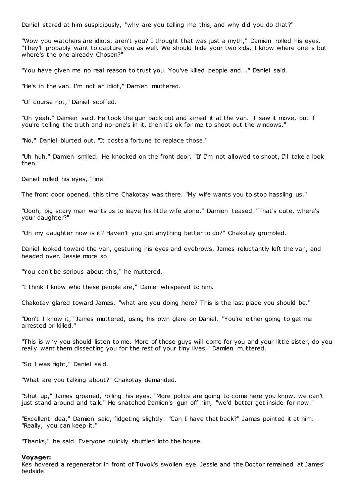Daniel stared at him suspiciously, "why are you telling me this, and why did you do that?"

"Wow you watchers are idiots, aren't you? I thought that was just a myth," Damien rolled his eyes. "They'll probably want to capture you as well. We should hide your two kids, I know where one is but where's the one already Chosen?"

"You have given me no real reason to trust you. You've killed people and..." Daniel said.

"He's in the van. I'm not an idiot," Damien muttered.

"Of course not," Daniel scoffed.

"Oh yeah," Damien said. He took the gun back out and aimed it at the van. "I saw it move, but if you're telling the truth and no-one's in it, then it's ok for me to shoot out the windows."

"No," Daniel blurted out. "It costs a fortune to replace those."

"Uh huh," Damien smiled. He knocked on the front door. "If I'm not allowed to shoot, I'll take a look then."

Daniel rolled his eyes, "fine."

The front door opened, this time Chakotay was there. "My wife wants you to stop hassling us."

"Oooh, big scary man wants us to leave his little wife alone," Damien teased. "That's cute, where's your daughter?"

"Oh my daughter now is it? Haven't you got anything better to do?" Chakotay grumbled.

Daniel looked toward the van, gesturing his eyes and eyebrows. James reluctantly left the van, and headed over. Jessie more so.

"You can't be serious about this," he muttered.

"I think I know who these people are," Daniel whispered to him.

Chakotay glared toward James, "what are you doing here? This is the last place you should be."

"Don't I know it," James muttered, using his own glare on Daniel. "You're either going to get me arrested or killed."

"This is why you should listen to me. More of those guys will come for you and your little sister, do you really want them dissecting you for the rest of your tiny lives," Damien muttered.

"So I was right," Daniel said.

"What are you talking about?" Chakotay demanded.

"Shut up," James groaned, rolling his eyes. "More police are going to come here you know, we can't just stand around and talk." He snatched Damien's gun off him, "we'd better get inside for now."

"Excellent idea," Damien said, fidgeting slightly. "Can I have that back?" James pointed it at him. "Really, you can keep it."

"Thanks," he said. Everyone quickly shuffled into the house.

### **Voyager:**

Kes hovered a regenerator in front of Tuvok's swollen eye. Jessie and the Doctor remained at James' bedside.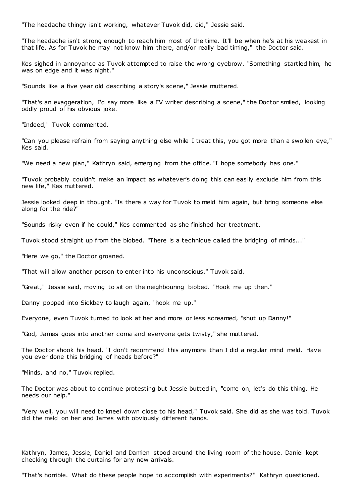"The headache thingy isn't working, whatever Tuvok did, did," Jessie said.

"The headache isn't strong enough to reach him most of the time. It'll be when he's at his weakest in that life. As for Tuvok he may not know him there, and/or really bad timing," the Doctor said.

Kes sighed in annoyance as Tuvok attempted to raise the wrong eyebrow. "Something startled him, he was on edge and it was night."

"Sounds like a five year old describing a story's scene," Jessie muttered.

"That's an exaggeration, I'd say more like a FV writer describing a scene," the Doctor smiled, looking oddly proud of his obvious joke.

"Indeed," Tuvok commented.

"Can you please refrain from saying anything else while I treat this, you got more than a swollen eye," Kes said.

"We need a new plan," Kathryn said, emerging from the office. "I hope somebody has one."

"Tuvok probably couldn't make an impact as whatever's doing this can easily exclude him from this new life," Kes muttered.

Jessie looked deep in thought. "Is there a way for Tuvok to meld him again, but bring someone else along for the ride?"

"Sounds risky even if he could," Kes commented as she finished her treatment.

Tuvok stood straight up from the biobed. "There is a technique called the bridging of minds..."

"Here we go," the Doctor groaned.

"That will allow another person to enter into his unconscious," Tuvok said.

"Great," Jessie said, moving to sit on the neighbouring biobed. "Hook me up then."

Danny popped into Sickbay to laugh again, "hook me up."

Everyone, even Tuvok turned to look at her and more or less screamed, "shut up Danny!"

"God, James goes into another coma and everyone gets twisty," she muttered.

The Doctor shook his head, "I don't recommend this anymore than I did a regular mind meld. Have you ever done this bridging of heads before?"

"Minds, and no," Tuvok replied.

The Doctor was about to continue protesting but Jessie butted in, "come on, let's do this thing. He needs our help."

"Very well, you will need to kneel down close to his head," Tuvok said. She did as she was told. Tuvok did the meld on her and James with obviously different hands.

Kathryn, James, Jessie, Daniel and Damien stood around the living room of the house. Daniel kept checking through the curtains for any new arrivals.

"That's horrible. What do these people hope to accomplish with experiments?" Kathryn questioned.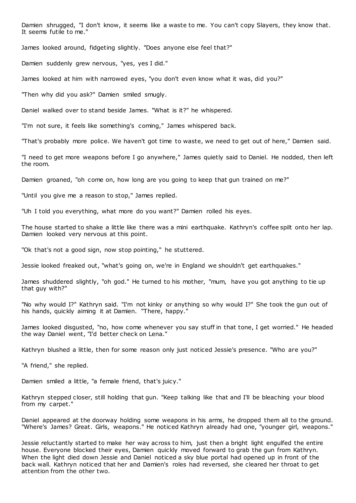Damien shrugged, "I don't know, it seems like a waste to me. You can't copy Slayers, they know that. It seems futile to me."

James looked around, fidgeting slightly. "Does anyone else feel that?"

Damien suddenly grew nervous, "yes, yes I did."

James looked at him with narrowed eyes, "you don't even know what it was, did you?"

"Then why did you ask?" Damien smiled smugly.

Daniel walked over to stand beside James. "What is it?" he whispered.

"I'm not sure, it feels like something's coming," James whispered back.

"That's probably more police. We haven't got time to waste, we need to get out of here," Damien said.

"I need to get more weapons before I go anywhere," James quietly said to Daniel. He nodded, then left the room.

Damien groaned, "oh come on, how long are you going to keep that gun trained on me?"

"Until you give me a reason to stop," James replied.

"Uh I told you everything, what more do you want?" Damien rolled his eyes.

The house started to shake a little like there was a mini earthquake. Kathryn's coffee spilt onto her lap. Damien looked very nervous at this point.

"Ok that's not a good sign, now stop pointing," he stuttered.

Jessie looked freaked out, "what's going on, we're in England we shouldn't get earthquakes."

James shuddered slightly, "oh god." He turned to his mother, "mum, have you got anything to tie up that guy with?"

"No why would I?" Kathryn said. "I'm not kinky or anything so why would I?" She took the gun out of his hands, quickly aiming it at Damien. "There, happy."

James looked disgusted, "no, how come whenever you say stuff in that tone, I get worried." He headed the way Daniel went, "I'd better check on Lena."

Kathryn blushed a little, then for some reason only just noticed Jessie's presence. "Who are you?"

"A friend," she replied.

Damien smiled a little, "a female friend, that's juicy."

Kathryn stepped closer, still holding that gun. "Keep talking like that and I'll be bleaching your blood from my carpet."

Daniel appeared at the doorway holding some weapons in his arms, he dropped them all to the ground. "Where's James? Great. Girls, weapons." He noticed Kathryn already had one, "younger girl, weapons."

Jessie reluctantly started to make her way across to him, just then a bright light engulfed the entire house. Everyone blocked their eyes, Damien quickly moved forward to grab the gun from Kathryn. When the light died down Jessie and Daniel noticed a sky blue portal had opened up in front of the back wall. Kathryn noticed that her and Damien's roles had reversed, she cleared her throat to get attention from the other two.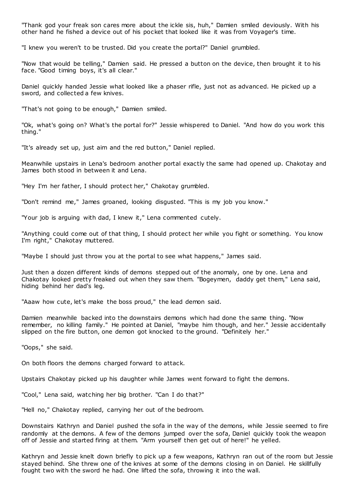"Thank god your freak son cares more about the ickle sis, huh," Damien smiled deviously. With his other hand he fished a device out of his pocket that looked like it was from Voyager's time.

"I knew you weren't to be trusted. Did you create the portal?" Daniel grumbled.

"Now that would be telling," Damien said. He pressed a button on the device, then brought it to his face. "Good timing boys, it's all clear."

Daniel quickly handed Jessie what looked like a phaser rifle, just not as advanced. He picked up a sword, and collected a few knives.

"That's not going to be enough," Damien smiled.

"Ok, what's going on? What's the portal for?" Jessie whispered to Daniel. "And how do you work this thing."

"It's already set up, just aim and the red button," Daniel replied.

Meanwhile upstairs in Lena's bedroom another portal exactly the same had opened up. Chakotay and James both stood in between it and Lena.

"Hey I'm her father, I should protect her," Chakotay grumbled.

"Don't remind me," James groaned, looking disgusted. "This is my job you know."

"Your job is arguing with dad, I knew it," Lena commented cutely.

"Anything could come out of that thing, I should protect her while you fight or something. You know I'm right," Chakotay muttered.

"Maybe I should just throw you at the portal to see what happens," James said.

Just then a dozen different kinds of demons stepped out of the anomaly, one by one. Lena and Chakotay looked pretty freaked out when they saw them. "Bogeymen, daddy get them," Lena said, hiding behind her dad's leg.

"Aaaw how cute, let's make the boss proud," the lead demon said.

Damien meanwhile backed into the downstairs demons which had done the same thing. "Now remember, no killing family." He pointed at Daniel, "maybe him though, and her." Jessie accidentally slipped on the fire button, one demon got knocked to the ground. "Definitely her."

"Oops," she said.

On both floors the demons charged forward to attack.

Upstairs Chakotay picked up his daughter while James went forward to fight the demons.

"Cool," Lena said, watching her big brother. "Can I do that?"

"Hell no," Chakotay replied, carrying her out of the bedroom.

Downstairs Kathryn and Daniel pushed the sofa in the way of the demons, while Jessie seemed to fire randomly at the demons. A few of the demons jumped over the sofa, Daniel quickly took the weapon off of Jessie and started firing at them. "Arm yourself then get out of here!" he yelled.

Kathryn and Jessie knelt down briefly to pick up a few weapons, Kathryn ran out of the room but Jessie stayed behind. She threw one of the knives at some of the demons closing in on Daniel. He skillfully fought two with the sword he had. One lifted the sofa, throwing it into the wall.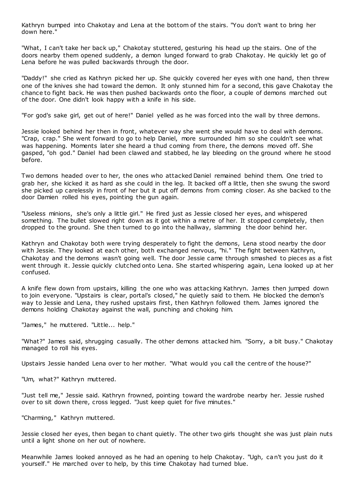Kathryn bumped into Chakotay and Lena at the bottom of the stairs. "You don't want to bring her down here."

"What, I can't take her back up," Chakotay stuttered, gesturing his head up the stairs. One of the doors nearby them opened suddenly, a demon lunged forward to grab Chakotay. He quickly let go of Lena before he was pulled backwards through the door.

"Daddy!" she cried as Kathryn picked her up. She quickly covered her eyes with one hand, then threw one of the knives she had toward the demon. It only stunned him for a second, this gave Chakotay the chance to fight back. He was then pushed backwards onto the floor, a couple of demons marched out of the door. One didn't look happy with a knife in his side.

"For god's sake girl, get out of here!" Daniel yelled as he was forced into the wall by three demons.

Jessie looked behind her then in front, whatever way she went she would have to deal with demons. "Crap, crap." She went forward to go to help Daniel, more surrounded him so she couldn't see what was happening. Moments later she heard a thud coming from there, the demons moved off. She gasped, "oh god." Daniel had been clawed and stabbed, he lay bleeding on the ground where he stood before.

Two demons headed over to her, the ones who attacked Daniel remained behind them. One tried to grab her, she kicked it as hard as she could in the leg. It backed off a little, then she swung the sword she picked up carelessly in front of her but it put off demons from coming closer. As she backed to the door Damien rolled his eyes, pointing the gun again.

"Useless minions, she's only a little girl." He fired just as Jessie closed her eyes, and whispered something. The bullet slowed right down as it got within a metre of her. It stopped completely, then dropped to the ground. She then turned to go into the hallway, slamming the door behind her.

Kathryn and Chakotay both were trying desperately to fight the demons, Lena stood nearby the door with Jessie. They looked at each other, both exchanged nervous, "hi." The fight between Kathryn, Chakotay and the demons wasn't going well. The door Jessie came through smashed to pieces as a fist went through it. Jessie quickly clutched onto Lena. She started whispering again, Lena looked up at her confused.

A knife flew down from upstairs, killing the one who was attacking Kathryn. James then jumped down to join everyone. "Upstairs is clear, portal's closed," he quietly said to them. He blocked the demon's way to Jessie and Lena, they rushed upstairs first, then Kathryn followed them. James ignored the demons holding Chakotay against the wall, punching and choking him.

"James," he muttered. "Little... help."

"What?" James said, shrugging casually. The other demons attacked him. "Sorry, a bit busy." Chakotay managed to roll his eyes.

Upstairs Jessie handed Lena over to her mother. "What would you call the centre of the house?"

"Um, what?" Kathryn muttered.

"Just tell me," Jessie said. Kathryn frowned, pointing toward the wardrobe nearby her. Jessie rushed over to sit down there, cross legged. "Just keep quiet for five minutes."

"Charming," Kathryn muttered.

Jessie closed her eyes, then began to chant quietly. The other two girls thought she was just plain nuts until a light shone on her out of nowhere.

Meanwhile James looked annoyed as he had an opening to help Chakotay. "Ugh, can't you just do it yourself." He marched over to help, by this time Chakotay had turned blue.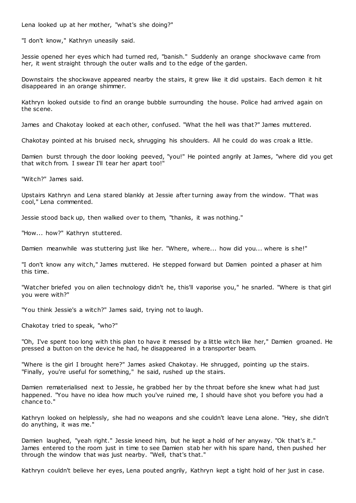Lena looked up at her mother, "what's she doing?"

"I don't know," Kathryn uneasily said.

Jessie opened her eyes which had turned red, "banish." Suddenly an orange shockwave came from her, it went straight through the outer walls and to the edge of the garden.

Downstairs the shockwave appeared nearby the stairs, it grew like it did upstairs. Each demon it hit disappeared in an orange shimmer.

Kathryn looked outside to find an orange bubble surrounding the house. Police had arrived again on the scene.

James and Chakotay looked at each other, confused. "What the hell was that?" James muttered.

Chakotay pointed at his bruised neck, shrugging his shoulders. All he could do was croak a little.

Damien burst through the door looking peeved, "you!" He pointed angrily at James, "where did you get that witch from. I swear I'll tear her apart too!"

"Witch?" James said.

Upstairs Kathryn and Lena stared blankly at Jessie after turning away from the window. "That was cool," Lena commented.

Jessie stood back up, then walked over to them, "thanks, it was nothing."

"How... how?" Kathryn stuttered.

Damien meanwhile was stuttering just like her. "Where, where... how did you... where is she!"

"I don't know any witch," James muttered. He stepped forward but Damien pointed a phaser at him this time.

"Watcher briefed you on alien technology didn't he, this'll vaporise you," he snarled. "Where is that girl you were with?"

"You think Jessie's a witch?" James said, trying not to laugh.

Chakotay tried to speak, "who?"

"Oh, I've spent too long with this plan to have it messed by a little witch like her," Damien groaned. He pressed a button on the device he had, he disappeared in a transporter beam.

"Where is the girl I brought here?" James asked Chakotay. He shrugged, pointing up the stairs. "Finally, you're useful for something," he said, rushed up the stairs.

Damien rematerialised next to Jessie, he grabbed her by the throat before she knew what had just happened. "You have no idea how much you've ruined me, I should have shot you before you had a chance to."

Kathryn looked on helplessly, she had no weapons and she couldn't leave Lena alone. "Hey, she didn't do anything, it was me."

Damien laughed, "yeah right." Jessie kneed him, but he kept a hold of her anyway. "Ok that's it." James entered to the room just in time to see Damien stab her with his spare hand, then pushed her through the window that was just nearby. "Well, that's that."

Kathryn couldn't believe her eyes, Lena pouted angrily, Kathryn kept a tight hold of her just in case.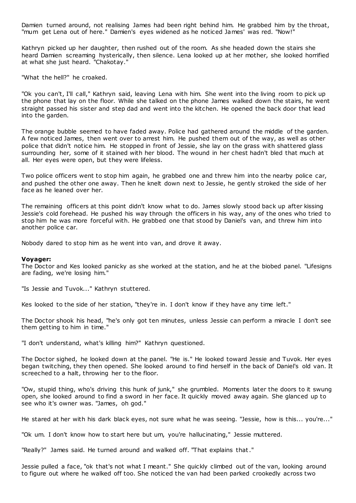Damien turned around, not realising James had been right behind him. He grabbed him by the throat, "mum get Lena out of here." Damien's eyes widened as he noticed James' was red. "Now!"

Kathryn picked up her daughter, then rushed out of the room. As she headed down the stairs she heard Damien screaming hysterically, then silence. Lena looked up at her mother, she looked horrified at what she just heard. "Chakotay."

"What the hell?" he croaked.

"Ok you can't, I'll call," Kathryn said, leaving Lena with him. She went into the living room to pick up the phone that lay on the floor. While she talked on the phone James walked down the stairs, he went straight passed his sister and step dad and went into the kitchen. He opened the back door that lead into the garden.

The orange bubble seemed to have faded away. Police had gathered around the middle of the garden. A few noticed James, then went over to arrest him. He pushed them out of the way, as well as other police that didn't notice him. He stopped in front of Jessie, she lay on the grass with shattered glass surrounding her, some of it stained with her blood. The wound in her chest hadn't bled that much at all. Her eyes were open, but they were lifeless.

Two police officers went to stop him again, he grabbed one and threw him into the nearby police car, and pushed the other one away. Then he knelt down next to Jessie, he gently stroked the side of her face as he leaned over her.

The remaining officers at this point didn't know what to do. James slowly stood back up after kissing Jessie's cold forehead. He pushed his way through the officers in his way, any of the ones who tried to stop him he was more forceful with. He grabbed one that stood by Daniel's van, and threw him into another police car.

Nobody dared to stop him as he went into van, and drove it away.

### **Voyager:**

The Doctor and Kes looked panicky as she worked at the station, and he at the biobed panel. "Lifesigns are fading, we're losing him."

"Is Jessie and Tuvok..." Kathryn stuttered.

Kes looked to the side of her station, "they're in. I don't know if they have any time left."

The Doctor shook his head, "he's only got ten minutes, unless Jessie can perform a miracle I don't see them getting to him in time."

"I don't understand, what's killing him?" Kathryn questioned.

The Doctor sighed, he looked down at the panel. "He is." He looked toward Jessie and Tuvok. Her eyes began twitching, they then opened. She looked around to find herself in the back of Daniel's old van. It screeched to a halt, throwing her to the floor.

"Ow, stupid thing, who's driving this hunk of junk," she grumbled. Moments later the doors to it swung open, she looked around to find a sword in her face. It quickly moved away again. She glanced up to see who it's owner was. "James, oh god."

He stared at her with his dark black eyes, not sure what he was seeing. "Jessie, how is this... you're..."

"Ok um. I don't know how to start here but um, you're hallucinating," Jessie muttered.

"Really?" James said. He turned around and walked off. "That explains that."

Jessie pulled a face, "ok that's not what I meant." She quickly climbed out of the van, looking around to figure out where he walked off too. She noticed the van had been parked crookedly across two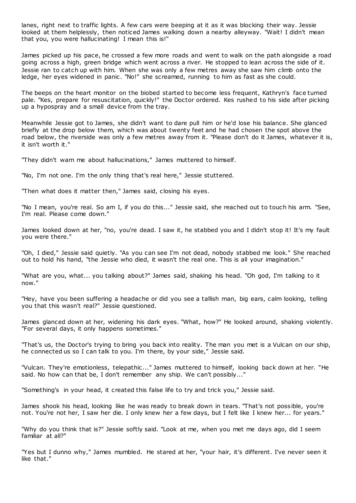lanes, right next to traffic lights. A few cars were beeping at it as it was blocking their way. Jessie looked at them helplessly, then noticed James walking down a nearby alleyway. "Wait! I didn't mean that you, you were hallucinating! I mean this is!"

James picked up his pace, he crossed a few more roads and went to walk on the path alongside a road going across a high, green bridge which went across a river. He stopped to lean across the side of it. Jessie ran to catch up with him. When she was only a few metres away she saw him climb onto the ledge, her eyes widened in panic. "No!" she screamed, running to him as fast as she could.

The beeps on the heart monitor on the biobed started to become less frequent, Kathryn's face turned pale. "Kes, prepare for resuscitation, quickly!" the Doctor ordered. Kes rushed to his side after picking up a hypospray and a small device from the tray.

Meanwhile Jessie got to James, she didn't want to dare pull him or he'd lose his balance. She glanced briefly at the drop below them, which was about twenty feet and he had chosen the spot above the road below, the riverside was only a few metres away from it. "Please don't do it James, whatever it is, it isn't worth it."

"They didn't warn me about hallucinations," James muttered to himself.

"No, I'm not one. I'm the only thing that's real here," Jessie stuttered.

"Then what does it matter then," James said, closing his eyes.

"No I mean, you're real. So am I, if you do this..." Jessie said, she reached out to touch his arm. "See, I'm real. Please come down."

James looked down at her, "no, you're dead. I saw it, he stabbed you and I didn't stop it! It's my fault you were there."

"Oh, I died," Jessie said quietly. "As you can see I'm not dead, nobody stabbed me look." She reached out to hold his hand, "the Jessie who died, it wasn't the real one. This is all your imagination."

"What are you, what... you talking about?" James said, shaking his head. "Oh god, I'm talking to it now."

"Hey, have you been suffering a headache or did you see a tallish man, big ears, calm looking, telling you that this wasn't real?" Jessie questioned.

James glanced down at her, widening his dark eyes. "What, how?" He looked around, shaking violently. "For several days, it only happens sometimes."

"That's us, the Doctor's trying to bring you back into reality. The man you met is a Vulcan on our ship, he connected us so I can talk to you. I'm there, by your side," Jessie said.

"Vulcan. They're emotionless, telepathic ..." James muttered to himself, looking back down at her. "He said. No how can that be, I don't remember any ship. We can't possibly..."

"Something's in your head, it created this false life to try and trick you," Jessie said.

James shook his head, looking like he was ready to break down in tears. "That's not poss ible, you're not. You're not her, I saw her die. I only knew her a few days, but I felt like I knew her... for years."

"Why do you think that is?" Jessie softly said. "Look at me, when you met me days ago, did I seem familiar at all?"

"Yes but I dunno why," James mumbled. He stared at her, "your hair, it's different. I've never seen it like that."